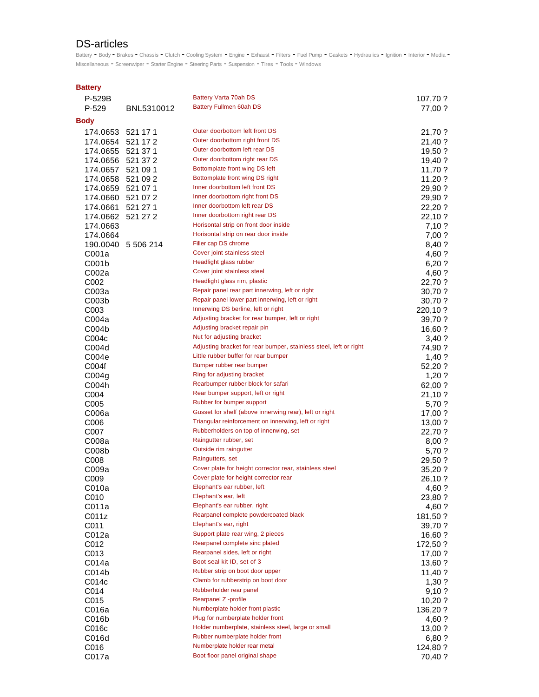## DS-articles

Battery - Body - Brakes - Chassis - Clutch - Cooling System - Engine - Exhaust - Filters - Fuel Pump - Gaskets - Hydraulics - Ignition - Interior - Media -Miscellaneous - Screenwiper - Starter Engine - Steering Parts - Suspension - Tires - Tools - Windows

## **Battery**

| P-529B            |            | Battery Varta 70ah DS                                                                           | 107,70 ?           |
|-------------------|------------|-------------------------------------------------------------------------------------------------|--------------------|
| $P-529$           | BNL5310012 | Battery Fullmen 60ah DS                                                                         | 77,00 ?            |
| Body              |            |                                                                                                 |                    |
| 174.0653 521 17 1 |            | Outer doorbottom left front DS                                                                  | 21,70 ?            |
| 174.0654 521 17 2 |            | Outer doorbottom right front DS                                                                 | 21,40 ?            |
| 174.0655 521 37 1 |            | Outer doorbottom left rear DS                                                                   | $19,50$ ?          |
| 174.0656          | 521 37 2   | Outer doorbottom right rear DS                                                                  | 19,40 ?            |
| 174.0657          | 521 09 1   | Bottomplate front wing DS left                                                                  | 11,70 ?            |
| 174.0658          | 521 09 2   | Bottomplate front wing DS right                                                                 | 11,20?             |
| 174.0659          | 521 07 1   | Inner doorbottom left front DS                                                                  | 29,90 ?            |
| 174.0660          | 521 07 2   | Inner doorbottom right front DS                                                                 | 29,90 ?            |
| 174.0661          | 521 27 1   | Inner doorbottom left rear DS                                                                   | 22,20 ?            |
| 174.0662          | 521 27 2   | Inner doorbottom right rear DS                                                                  | 22,10 ?            |
| 174.0663          |            | Horisontal strip on front door inside                                                           | 7,10 ?             |
| 174.0664          |            | Horisontal strip on rear door inside                                                            | 7,00 ?             |
| 190.0040          | 5 506 214  | Filler cap DS chrome                                                                            | 8,40 ?             |
| C001a             |            | Cover joint stainless steel                                                                     | 4,60 ?             |
| C <sub>001b</sub> |            | Headlight glass rubber                                                                          | 6,20?              |
| C002a             |            | Cover joint stainless steel                                                                     | 4,60 ?             |
| C002              |            | Headlight glass rim, plastic                                                                    | 22,70 ?            |
| C003a             |            | Repair panel rear part innerwing, left or right                                                 | 30,70 ?            |
| C003b             |            | Repair panel lower part innerwing, left or right                                                | 30,70 ?            |
| C003              |            | Innerwing DS berline, left or right                                                             | 220,10 ?           |
| C004a             |            | Adjusting bracket for rear bumper, left or right                                                | 39,70 ?            |
| COO4b             |            | Adjusting bracket repair pin                                                                    | 16,60 ?            |
| C004c             |            | Nut for adjusting bracket                                                                       | 3,40 ?             |
| C004d             |            | Adjusting bracket for rear bumper, stainless steel, left or right                               | 74,90 ?            |
| C004e             |            | Little rubber buffer for rear bumper                                                            | $1,40$ ?           |
| C004f             |            | Bumper rubber rear bumper                                                                       | 52,20?             |
| CO04g             |            | Ring for adjusting bracket                                                                      | $1,20$ ?           |
| C004h             |            | Rearbumper rubber block for safari                                                              | 62,00 ?            |
| C004              |            | Rear bumper support, left or right                                                              | 21,10 ?            |
| C005              |            | Rubber for bumper support                                                                       | 5,70 ?             |
| C006a             |            | Gusset for shelf (above innerwing rear), left or right                                          | 17,00 ?            |
| C006              |            | Triangular reinforcement on innerwing, left or right                                            | 13,00 ?            |
| C007              |            | Rubberholders on top of innerwing, set                                                          | 22,70 ?            |
| C008a             |            | Raingutter rubber, set                                                                          | 8,00?              |
| C008b             |            | Outside rim raingutter                                                                          | 5,70 ?             |
| C008              |            | Raingutters, set                                                                                | 29,50 ?            |
| C009a             |            | Cover plate for height corrector rear, stainless steel<br>Cover plate for height corrector rear | 35,20 ?            |
| C009              |            |                                                                                                 | 26,10 ?            |
| C010a             |            | Elephant's ear rubber, left<br>Elephant's ear, left                                             | 4,60 ?             |
| C010              |            | Elephant's ear rubber, right                                                                    | 23,80 ?            |
| C011a             |            | Rearpanel complete powdercoated black                                                           | 4,60 ?             |
| C011z             |            | Elephant's ear, right                                                                           | 181,50 ?           |
| C011              |            | Support plate rear wing, 2 pieces                                                               | 39,70 ?            |
| C012a             |            | Rearpanel complete sinc plated                                                                  | 16,60 ?            |
| C012              |            | Rearpanel sides, left or right                                                                  | 172,50 ?           |
| C013<br>C014a     |            | Boot seal kit ID, set of 3                                                                      | 17,00 ?            |
| C014b             |            | Rubber strip on boot door upper                                                                 | 13,60 ?            |
|                   |            | Clamb for rubberstrip on boot door                                                              | 11,40?             |
| C014c<br>C014     |            | Rubberholder rear panel                                                                         | 1,30 ?<br>9,10?    |
| C015              |            | Rearpanel Z -profile                                                                            | 10,20?             |
| C016a             |            | Numberplate holder front plastic                                                                | 136,20 ?           |
| C016b             |            | Plug for numberplate holder front                                                               |                    |
| C016c             |            | Holder numberplate, stainless steel, large or small                                             | 4,60 ?             |
| C016d             |            | Rubber numberplate holder front                                                                 | 13,00 ?            |
| C016              |            | Numberplate holder rear metal                                                                   | 6,80 ?<br>124,80 ? |
| C017a             |            | Boot floor panel original shape                                                                 | 70,40 ?            |
|                   |            |                                                                                                 |                    |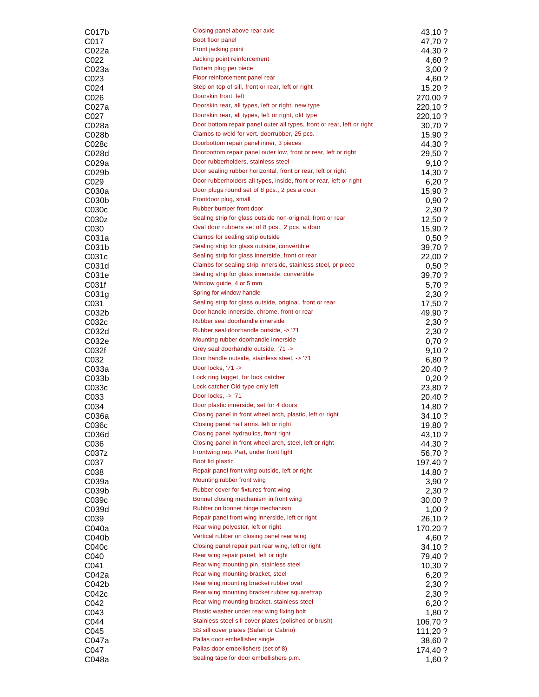| C017b             | Closing panel above rear axle                                          | 43,10 ?  |
|-------------------|------------------------------------------------------------------------|----------|
| C017              | Boot floor panel                                                       | 47,70 ?  |
| C022a             | Front jacking point                                                    | 44,30 ?  |
|                   | Jacking point reinforcement                                            |          |
| C022              |                                                                        | 4,60 ?   |
| C023a             | Bottem plug per piece                                                  | 3,00?    |
| C023              | Floor reinforcement panel rear                                         | 4,60 ?   |
| C024              | Step on top of sill, front or rear, left or right                      | 15,20?   |
| C026              | Doorskin front, left                                                   | 270,00 ? |
| C027a             | Doorskin rear, all types, left or right, new type                      | 220,10 ? |
| C027              | Doorskin rear, all types, left or right, old type                      | 220,10 ? |
| C028a             | Door bottom repair panel outer all types, front or rear, left or right | 30,70 ?  |
| CO <sub>28b</sub> | Clambs to weld for vert. doorrubber, 25 pcs.                           | 15,90 ?  |
|                   | Doorbottom repair panel inner, 3 pieces                                |          |
| C028c             | Doorbottom repair panel outer low, front or rear, left or right        | 44,30 ?  |
| C028d             |                                                                        | 29,50 ?  |
| C029a             | Door rubberholders, stainless steel                                    | 9,10?    |
| C029b             | Door sealing rubber horizontal, front or rear, left or right           | 14,30 ?  |
| C <sub>029</sub>  | Door rubberholders all types, inside, front or rear, left or right     | 6,20?    |
| C030a             | Door plugs round set of 8 pcs., 2 pcs a door                           | 15,90 ?  |
| CO30 <sub>b</sub> | Frontdoor plug, small                                                  | 0,90?    |
| C030 <sub>c</sub> | Rubber bumper front door                                               | 2,30 ?   |
| C030z             | Sealing strip for glass outside non-original, front or rear            | 12,50 ?  |
|                   | Oval door rubbers set of 8 pcs., 2 pcs. a door                         |          |
| C <sub>0</sub> 30 |                                                                        | 15,90 ?  |
| C031a             | Clamps for sealing strip outside                                       | 0,50?    |
| C031b             | Sealing strip for glass outside, convertible                           | 39,70 ?  |
| C031c             | Sealing strip for glass innerside, front or rear                       | 22,00 ?  |
| C031d             | Clambs for sealing strip innerside, stainless steel, pr piece          | 0,50?    |
| C031e             | Sealing strip for glass innerside, convertible                         | 39,70 ?  |
| C031f             | Window guide, 4 or 5 mm.                                               | 5,70 ?   |
| CO <sub>31g</sub> | Spring for window handle                                               | 2,30 ?   |
|                   | Sealing strip for glass outside, original, front or rear               |          |
| C031              | Door handle innerside, chrome, front or rear                           | 17,50 ?  |
| C032b             |                                                                        | 49,90 ?  |
| C032c             | Rubber seal doorhandle innerside                                       | 2,30 ?   |
| C032d             | Rubber seal doorhandle outside, -> '71                                 | 2,30 ?   |
| C032e             | Mounting rubber doorhandle innerside                                   | 0,70?    |
| C032f             | Grey seal doorhandle outside, '71 ->                                   | 9,10?    |
| C032              | Door handle outside, stainless steel, -> '71                           | 6,80 ?   |
| C033a             | Door locks, '71 ->                                                     | 20,40 ?  |
| C033b             | Lock ring tagget, for lock catcher                                     | 0,20?    |
|                   | Lock catcher Old type only left                                        |          |
| C033c             | Door locks, -> '71                                                     | 23,80 ?  |
| C033              |                                                                        | 20,40 ?  |
| C034              | Door plastic innerside, set for 4 doors                                | 14,80 ?  |
| C036a             | Closing panel in front wheel arch, plastic, left or right              | 34,10 ?  |
| C036c             | Closing panel half arms, left or right                                 | 19,80 ?  |
| C036d             | Closing panel hydraulics, front right                                  | 43,10 ?  |
| C036              | Closing panel in front wheel arch, steel, left or right                | 44,30 ?  |
| C037z             | Frontwing rep. Part, under front light                                 | 56,70 ?  |
| C037              | Boot lid plastic                                                       | 197,40 ? |
|                   | Repair panel front wing outside, left or right                         |          |
| C038              |                                                                        | 14,80 ?  |
| C039a             | Mounting rubber front wing                                             | 3,90 ?   |
| C039b             | Rubber cover for fixtures front wing                                   | 2,30 ?   |
| C039c             | Bonnet closing mechanism in front wing                                 | 30,00 ?  |
| C039d             | Rubber on bonnet hinge mechanism                                       | 1,00?    |
| C039              | Repair panel front wing innerside, left or right                       | 26,10 ?  |
| C040a             | Rear wing polyester, left or right                                     | 170,20 ? |
| C040b             | Vertical rubber on closing panel rear wing                             | 4,60 ?   |
| C040 <sub>c</sub> | Closing panel repair part rear wing, left or right                     | 34,10 ?  |
|                   | Rear wing repair panel, left or right                                  |          |
| C040              |                                                                        | 79,40 ?  |
| C041              | Rear wing mounting pin, stainless steel                                | 10,30 ?  |
| C042a             | Rear wing mounting bracket, steel                                      | 6,20?    |
| C042b             | Rear wing mounting bracket rubber oval                                 | 2,30 ?   |
| C042 <sub>c</sub> | Rear wing mounting bracket rubber square/trap                          | 2,30 ?   |
| C042              | Rear wing mounting bracket, stainless steel                            | 6,20 ?   |
| C043              | Plastic washer under rear wing fixing bolt                             | 1,80 ?   |
| C044              | Stainless steel sill cover plates (polished or brush)                  | 106,70 ? |
| C045              | SS sill cover plates (Safari or Cabrio)                                |          |
|                   | Pallas door embellisher single                                         | 111,20 ? |
| C047a             |                                                                        | 38,60 ?  |
| C047              | Pallas door embellishers (set of 8)                                    | 174,40 ? |
| C048a             | Sealing tape for door embellishers p.m.                                | 1,60?    |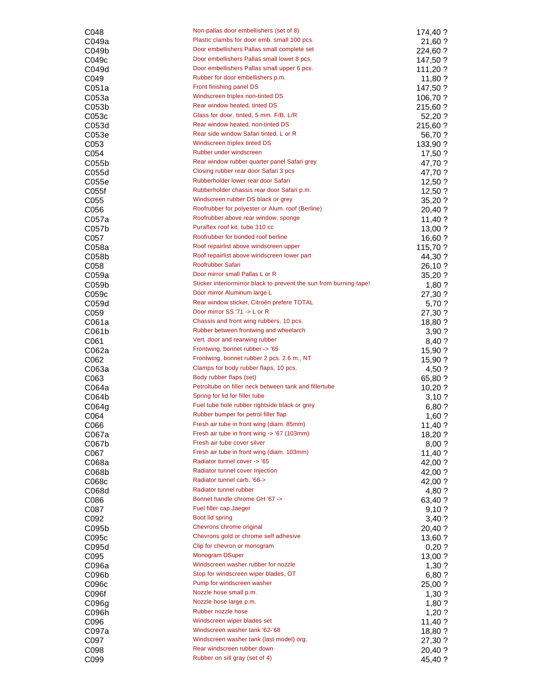| C048                       | Non-pallas door embellishers (set of 8)                                                 | 174,40 ?            |
|----------------------------|-----------------------------------------------------------------------------------------|---------------------|
| C049a                      | Plastic clambs for door emb. small 100 pcs.                                             | 21,60 ?             |
| C049b                      | Door embellishers Pallas small complete set                                             | 224,60 ?            |
| C049 <sub>c</sub>          | Door embellishers Pallas small lower 8 pcs.                                             | 147,50 ?            |
| C049d                      | Door embellishers Pallas small upper 6 pcs.                                             | 111,20 ?            |
| C049                       | Rubber for door embellishers p.m.                                                       | 11,80 ?             |
| C051a                      | Front finishing panel DS<br>Windscreen triplex non-tinted DS                            | 147,50 ?            |
| C053a<br>C053 <sub>b</sub> | Rear window heated, tinted DS                                                           | 106,70 ?            |
| C053c                      | Glass for door, tinted, 5 mm. F/B, L/R                                                  | 215,60 ?<br>52,20 ? |
| C053d                      | Rear window heated, non-tinted DS                                                       | 215,60 ?            |
| C053e                      | Rear side window Safari tinted, L or R                                                  | 56,70 ?             |
| C053                       | Windscreen triplex tinted DS                                                            | 133,90 ?            |
| C054                       | Rubber under windscreen                                                                 | 17,50 ?             |
| C055b                      | Rear window rubber quarter panel Safari grey                                            | 47,70 ?             |
| C055d                      | Closing rubber rear door Safari 3 pcs                                                   | 47,70 ?             |
| C055e                      | Rubberholder lower rear door Safari                                                     | $12,50$ ?           |
| C055f                      | Rubberholder chassis rear door Safari p.m.                                              | $12,50$ ?           |
| C055                       | Windscreen rubber DS black or grey                                                      | 35,20 ?             |
| C056                       | Roofrubber for polyester or Alum. roof (Berline)                                        | 20,40 ?             |
| C057a                      | Roofrubber above rear window, sponge                                                    | 11,40?              |
| CO <sub>57b</sub>          | Puraflex roof kit, tube 310 cc                                                          | 13,00 ?             |
| C057                       | Roofrubber for bonded roof berline<br>Roof repairlist above windscreen upper            | 16,60 ?             |
| C058a                      | Roof repairlist above windscreen lower part                                             | 115,70 ?            |
| C058b                      | Roofrubber Safari                                                                       | 44,30 ?             |
| C058<br>C059a              | Door mirror small Pallas L or R                                                         | 26,10 ?<br>35,20?   |
| C059b                      | Sticker interiormirror black to prevent the sun from burning tape!                      | 1,80?               |
| C059 <sub>c</sub>          | Door mirror Aluminum large L                                                            | 27,30 ?             |
| C059d                      | Rear window sticker, Citroën prefere TOTAL                                              | 5,70 ?              |
| C <sub>059</sub>           | Door mirror SS '71 -> L or R                                                            | 27,30 ?             |
| C061a                      | Chassis and front wing rubbers, 10 pcs.                                                 | 18,80 ?             |
| C061b                      | Rubber between frontwing and wheelarch                                                  | 3,90?               |
| C061                       | Vert. door and rearwing rubber                                                          | 8,40 ?              |
| C062a                      | Frontwing, bonnet rubber -> '65                                                         | 15,90 ?             |
| C062                       | Frontwing, bonnet rubber 2 pcs. 2.6 m., NT                                              | 15,90 ?             |
| C063a                      | Clamps for body rubber flaps, 10 pcs.                                                   | 4,50 ?              |
| C <sub>063</sub>           | Body rubber flaps (set)                                                                 | 65,80 ?             |
| C064a                      | Petroltube on filler neck between tank and fillertube<br>Spring for lid for filler tube | 10,20?              |
| C064b<br>C064g             | Fuel tube hole rubber rightside black or grey                                           | 3,10?<br>6,80 ?     |
| C064                       | Rubber bumper for petrol filler flap                                                    | 1,60?               |
| <b>C066</b>                | Fresh air tube in front wing (diam. 85mm)                                               | 11,40 ?             |
| C067a                      | Fresh air tube in front wing -> '67 (103mm)                                             | 18,20 ?             |
| C067b                      | Fresh air tube cover silver                                                             | 8,00?               |
| C067                       | Fresh air tube in front wing (diam. 103mm)                                              | 11,40 ?             |
| C068a                      | Radiator tunnel cover -> '65                                                            | 42,00 ?             |
| C068b                      | Radiator tunnel cover Injection                                                         | 42,00 ?             |
| C068c                      | Radiator tunnel carb. '66->                                                             | 42,00 ?             |
| C068d                      | Radiator tunnel rubber                                                                  | 4,80 ?              |
| C086                       | Bonnet handle chrome GH '67 ->                                                          | 63,40 ?             |
| C087                       | Fuel filler cap Jaeger                                                                  | 9,10?               |
| C092                       | Boot lid spring                                                                         | 3,40 ?              |
| C095b                      | Chevrons chrome original                                                                | 20,40 ?             |
| C095c                      | Chevrons gold or chrome self adhesive<br>Clip for chevron or monogram                   | 13,60 ?             |
| C095d                      | Monogram DSuper                                                                         | 0,20?               |
| C095<br>C096a              | Windscreen washer rubber for nozzle                                                     | 13,00 ?             |
| C096b                      | Stop for windscreen wiper blades, OT                                                    | 1,30.7<br>6,80 ?    |
| C096c                      | Pump for windscreen washer                                                              | 25,00 ?             |
| C096f                      | Nozzle hose small p.m.                                                                  | 1,30?               |
| CO96 <sub>g</sub>          | Nozzle hose large p.m.                                                                  | $1,80$ ?            |
| C096h                      | Rubber nozzle hose                                                                      | 1,20?               |
| C096                       | Windscreen wiper blades set                                                             | 11,40 ?             |
| C097a                      | Windscreen washer tank '62-'68                                                          | 18,80 ?             |
| C097                       | Windscreen washer tank (last model) org.                                                | 27,30 ?             |
| C098                       | Rear windscreen rubber down                                                             | 20,40 ?             |
| C099                       | Rubber on sill gray (set of 4)                                                          | 45,40 ?             |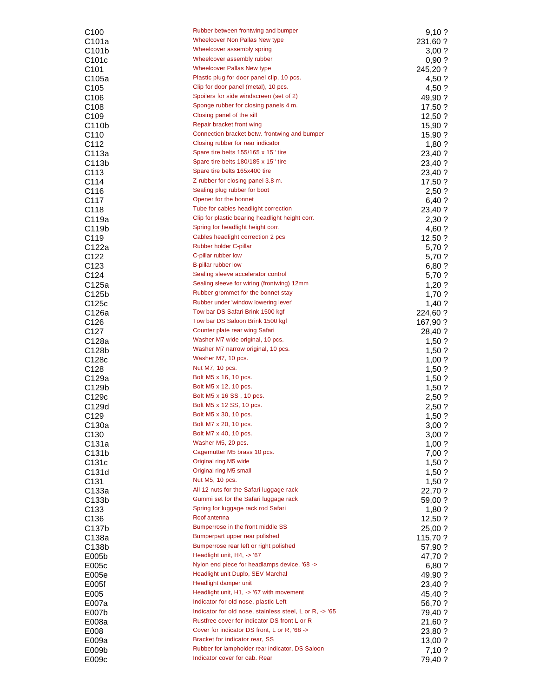| C100               | Rubber between frontwing and bumper                     | 9,10?    |
|--------------------|---------------------------------------------------------|----------|
| C101a              | Wheelcover Non Pallas New type                          | 231,60 ? |
| C <sub>101</sub> b | Wheelcover assembly spring                              | 3,00?    |
| C <sub>101</sub> c | Wheelcover assembly rubber                              | 0,90?    |
| C <sub>101</sub>   | <b>Wheelcover Pallas New type</b>                       | 245,20 ? |
| C105a              | Plastic plug for door panel clip, 10 pcs.               | 4,50 ?   |
| C <sub>105</sub>   | Clip for door panel (metal), 10 pcs.                    | 4,50 ?   |
| C106               | Spoilers for side windscreen (set of 2)                 | 49,90 ?  |
| C <sub>108</sub>   | Sponge rubber for closing panels 4 m.                   | 17,50 ?  |
| C <sub>109</sub>   | Closing panel of the sill                               | 12,50 ?  |
| C <sub>110</sub> b | Repair bracket front wing                               | 15,90 ?  |
| C <sub>110</sub>   | Connection bracket betw. frontwing and bumper           | 15,90 ?  |
| C <sub>112</sub>   | Closing rubber for rear indicator                       | $1,80$ ? |
| C113a              | Spare tire belts 155/165 x 15" tire                     | 23,40 ?  |
| C113b              | Spare tire belts 180/185 x 15" tire                     | 23,40 ?  |
| C <sub>113</sub>   | Spare tire belts 165x400 tire                           | 23,40 ?  |
| C114               | Z-rubber for closing panel 3.8 m.                       | 17,50 ?  |
| C116               | Sealing plug rubber for boot                            | 2,50?    |
| C <sub>117</sub>   | Opener for the bonnet                                   | 6,40 ?   |
| C118               | Tube for cables headlight correction                    | 23,40 ?  |
| C119a              | Clip for plastic bearing headlight height corr.         | 2,30 ?   |
| C119b              | Spring for headlight height corr.                       | 4,60 ?   |
| C <sub>119</sub>   | Cables headlight correction 2 pcs                       | 12,50 ?  |
| C122a              | Rubber holder C-pillar                                  | 5,70 ?   |
| C122               | C-pillar rubber low                                     | 5,70 ?   |
| C <sub>123</sub>   | B-pillar rubber low                                     | 6,80 ?   |
| C <sub>124</sub>   | Sealing sleeve accelerator control                      | 5,70 ?   |
| C125a              | Sealing sleeve for wiring (frontwing) 12mm              | 1,20?    |
| C <sub>125</sub> b | Rubber grommet for the bonnet stay                      | 1,70?    |
| C125c              | Rubber under 'window lowering lever'                    | 1,40 ?   |
| C126a              | Tow bar DS Safari Brink 1500 kgf                        | 224,60 ? |
| C126               | Tow bar DS Saloon Brink 1500 kgf                        | 167,90 ? |
| C127               | Counter plate rear wing Safari                          | 28,40 ?  |
| C128a              | Washer M7 wide original, 10 pcs.                        | 1,50?    |
| C128b              | Washer M7 narrow original, 10 pcs.                      | $1,50$ ? |
| C128c              | Washer M7, 10 pcs.                                      | 1,00?    |
| C128               | Nut M7, 10 pcs.                                         | 1,50?    |
| C129a              | Bolt M5 x 16, 10 pcs.                                   | 1,50?    |
| C129b              | Bolt M5 x 12, 10 pcs.                                   | 1,50?    |
| C129 <sub>c</sub>  | Bolt M5 x 16 SS, 10 pcs.                                | 2,50?    |
| C129d              | Bolt M5 x 12 SS, 10 pcs.                                | 2,50 ?   |
| C129               | Bolt M5 x 30, 10 pcs.                                   | 1,50?    |
| C130a              | Bolt M7 x 20, 10 pcs.                                   | 3,00 ?   |
| C <sub>130</sub>   | Bolt M7 x 40, 10 pcs.                                   | 3,00?    |
| C131a              | Washer M5, 20 pcs.                                      | 1,00?    |
| C131b              | Cagemutter M5 brass 10 pcs.                             | 7,00?    |
| C131c              | Original ring M5 wide                                   | 1,50?    |
| C131d              | Original ring M5 small                                  | $1,50$ ? |
| C131               | Nut M5, 10 pcs.                                         | 1,50?    |
| C133a              | All 12 nuts for the Safari luggage rack                 | 22,70 ?  |
| C133b              | Gummi set for the Safari luggage rack                   | 59,00 ?  |
| C <sub>133</sub>   | Spring for luggage rack rod Safari                      | 1,80 ?   |
| C <sub>136</sub>   | Roof antenna                                            | 12,50 ?  |
| C137b              | Bumperrose in the front middle SS                       | 25,00 ?  |
| C138a              | Bumperpart upper rear polished                          | 115,70 ? |
| C138b              | Bumperrose rear left or right polished                  | 57,90 ?  |
| E005b              | Headlight unit, H4, -> '67                              | 47,70 ?  |
| E005c              | Nylon end piece for headlamps device, '68 ->            | 6,80 ?   |
| E005e              | Headlight unit Duplo, SEV Marchal                       | 49,90 ?  |
| E005f              | Headlight damper unit                                   | 23,40 ?  |
| E005               | Headlight unit, H1, -> '67 with movement                | 45,40 ?  |
| E007a              | Indicator for old nose, plastic Left                    | 56,70 ?  |
| E007b              | Indicator for old nose, stainless steel, L or R, -> '65 | 79,40 ?  |
| E008a              | Rustfree cover for indicator DS front L or R            | 21,60 ?  |
| E008               | Cover for indicator DS front, L or R, '68 ->            | 23,80 ?  |
| E009a              | Bracket for indicator rear, SS                          | 13,00 ?  |
| E009b              | Rubber for lampholder rear indicator, DS Saloon         | 7,10 ?   |
| E009c              | Indicator cover for cab. Rear                           | 79,40 ?  |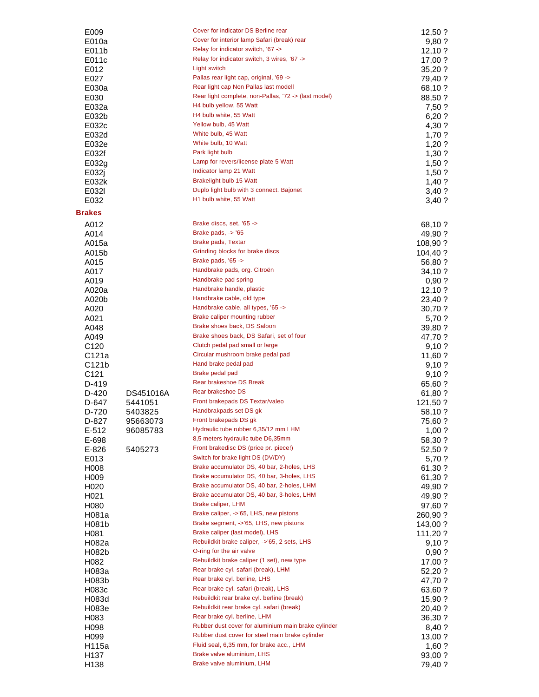| E009                      |           | Cover for indicator DS Berline rear                                         | 12,50?              |
|---------------------------|-----------|-----------------------------------------------------------------------------|---------------------|
| E010a                     |           | Cover for interior lamp Safari (break) rear                                 | 9,80 ?              |
| E011b                     |           | Relay for indicator switch, '67 ->                                          | 12,10?              |
| E011c                     |           | Relay for indicator switch, 3 wires, '67 ->                                 | 17,00 ?             |
| E012                      |           | Light switch                                                                | 35,20 ?             |
| E027                      |           | Pallas rear light cap, original, '69 ->                                     | 79,40 ?             |
| E030a                     |           | Rear light cap Non Pallas last modell                                       | 68,10 ?             |
| E030                      |           | Rear light complete, non-Pallas, '72 -> (last model)                        | 88,50 ?             |
| E032a                     |           | H4 bulb yellow, 55 Watt<br>H4 bulb white, 55 Watt                           | 7,50 ?              |
| E032b                     |           |                                                                             | 6,20 ?              |
| E032c                     |           | Yellow bulb, 45 Watt<br>White bulb, 45 Watt                                 | 4,30 ?              |
| E032d                     |           | White bulb, 10 Watt                                                         | 1,70 ?              |
| E032e<br>E032f            |           | Park light bulb                                                             | 1,20?               |
|                           |           | Lamp for revers/license plate 5 Watt                                        | 1,30 ?              |
| E032g                     |           | Indicator lamp 21 Watt                                                      | 1,50?               |
| E032j<br>E032k            |           | <b>Brakelight bulb 15 Watt</b>                                              | 1,50?               |
| E032I                     |           | Duplo light bulb with 3 connect. Bajonet                                    | 1,40?<br>3,40 ?     |
| E032                      |           | H1 bulb white, 55 Watt                                                      | 3,40?               |
|                           |           |                                                                             |                     |
| <b>Brakes</b>             |           |                                                                             |                     |
| A012                      |           | Brake discs, set, '65 ->                                                    | 68,10 ?             |
| A014                      |           | Brake pads, $\sim$ '65                                                      | 49,90 ?             |
| A015a                     |           | <b>Brake pads, Textar</b>                                                   | 108,90?             |
| A015b                     |           | Grinding blocks for brake discs                                             | 104,40 ?            |
| A015                      |           | Brake pads, '65 ->                                                          | 56,80 ?             |
| A017                      |           | Handbrake pads, org. Citroën                                                | 34,10 ?             |
| A019                      |           | Handbrake pad spring                                                        | 0,90?               |
| A020a                     |           | Handbrake handle, plastic                                                   | 12,10?              |
| A020b                     |           | Handbrake cable, old type                                                   | 23,40 ?             |
| A020                      |           | Handbrake cable, all types, '65 ->                                          | 30,70 ?             |
| A021                      |           | Brake caliper mounting rubber                                               | 5,70 ?              |
| A048                      |           | Brake shoes back, DS Saloon                                                 | 39,80 ?             |
| A049                      |           | Brake shoes back, DS Safari, set of four<br>Clutch pedal pad small or large | 47,70 ?             |
| C <sub>120</sub>          |           | Circular mushroom brake pedal pad                                           | 9,10 ?              |
| C121a                     |           | Hand brake pedal pad                                                        | 11,60 ?             |
| C121b                     |           | Brake pedal pad                                                             | 9,10?               |
| C <sub>121</sub><br>D-419 |           | Rear brakeshoe DS Break                                                     | 9,10?               |
| D-420                     | DS451016A | Rear brakeshoe DS                                                           | 65,60 ?             |
| D-647                     | 5441051   | Front brakepads DS Textar/valeo                                             | 61,80 ?<br>121,50 ? |
| D-720                     | 5403825   | Handbrakpads set DS gk                                                      | 58,10 ?             |
| D-827                     | 95663073  | Front brakepads DS gk                                                       | 75,60 ?             |
| $E-512$                   | 96085783  | Hydraulic tube rubber 6,35/12 mm LHM                                        | 1,00?               |
| E-698                     |           | 8,5 meters hydraulic tube D6,35mm                                           | 58,30 ?             |
| $E-826$                   | 5405273   | Front brakedisc DS (price pr. piece!)                                       | 52,50 ?             |
| E013                      |           | Switch for brake light DS (DV/DY)                                           | 5,70 ?              |
| H008                      |           | Brake accumulator DS, 40 bar, 2-holes, LHS                                  | 61,30 ?             |
| H <sub>009</sub>          |           | Brake accumulator DS, 40 bar, 3-holes, LHS                                  | 61,30 ?             |
| H <sub>020</sub>          |           | Brake accumulator DS, 40 bar, 2-holes, LHM                                  | 49,90 ?             |
| H <sub>021</sub>          |           | Brake accumulator DS, 40 bar, 3-holes, LHM                                  | 49,90 ?             |
| H080                      |           | Brake caliper, LHM                                                          | 97,60 ?             |
| H081a                     |           | Brake caliper, ->'65, LHS, new pistons                                      | 260,90?             |
| H081b                     |           | Brake segment, ->'65, LHS, new pistons                                      | 143,00 ?            |
| H081                      |           | Brake caliper (last model), LHS                                             | 111,20?             |
| H082a                     |           | Rebuildkit brake caliper, ->'65, 2 sets, LHS                                | 9,10?               |
| H082b                     |           | O-ring for the air valve                                                    | 0,90?               |
| H082                      |           | Rebuildkit brake caliper (1 set), new type                                  | 17,00 ?             |
| H083a                     |           | Rear brake cyl. safari (break), LHM                                         | 52,20 ?             |
| H083b                     |           | Rear brake cyl. berline, LHS                                                | 47,70 ?             |
| H083c                     |           | Rear brake cyl. safari (break), LHS                                         | 63,60 ?             |
| H083d                     |           | Rebuildkit rear brake cyl. berline (break)                                  | 15,90 ?             |
| H083e                     |           | Rebuildkit rear brake cyl. safari (break)                                   | 20,40 ?             |
| H083                      |           | Rear brake cyl. berline, LHM                                                | 36,30 ?             |
| H098                      |           | Rubber dust cover for aluminium main brake cylinder                         | 8,40 ?              |
| H <sub>099</sub>          |           | Rubber dust cover for steel main brake cylinder                             | 13,00 ?             |
| H115a                     |           | Fluid seal, 6,35 mm, for brake acc., LHM                                    | 1,60 ?              |
| H <sub>137</sub>          |           | Brake valve aluminium, LHS                                                  | 93,00 ?             |
| H <sub>138</sub>          |           | Brake valve aluminium, LHM                                                  | 79,40 ?             |
|                           |           |                                                                             |                     |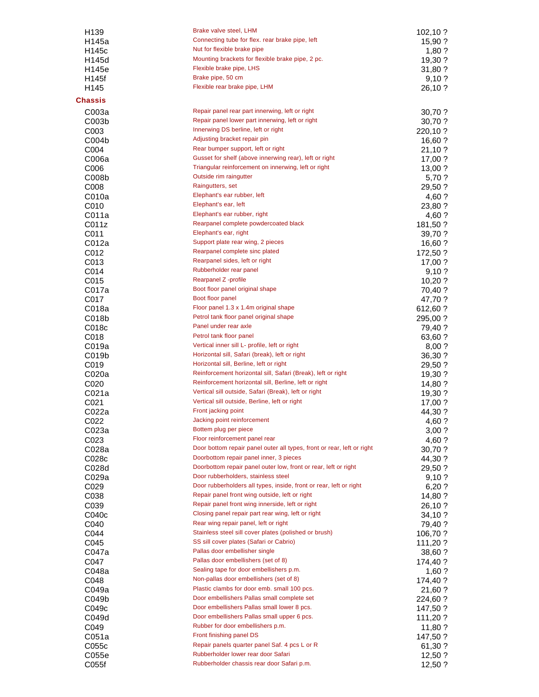| H <sub>139</sub>  | Brake valve steel, LHM                                                 | 102,10 ? |
|-------------------|------------------------------------------------------------------------|----------|
| H145a             | Connecting tube for flex. rear brake pipe, left                        | 15,90 ?  |
| H145c             | Nut for flexible brake pipe                                            | $1,80$ ? |
| H145d             | Mounting brackets for flexible brake pipe, 2 pc.                       |          |
|                   | Flexible brake pipe, LHS                                               | 19,30 ?  |
| H145e             |                                                                        | 31,80 ?  |
| H145f             | Brake pipe, 50 cm                                                      | 9,10?    |
| H145              | Flexible rear brake pipe, LHM                                          | 26,10 ?  |
| <b>Chassis</b>    |                                                                        |          |
|                   | Repair panel rear part innerwing, left or right                        |          |
| C003a             |                                                                        | 30,70 ?  |
| COO3b             | Repair panel lower part innerwing, left or right                       | 30,70 ?  |
| C003              | Innerwing DS berline, left or right                                    | 220,10 ? |
| C004b             | Adjusting bracket repair pin                                           | 16,60 ?  |
| C004              | Rear bumper support, left or right                                     | 21,10 ?  |
| C006a             | Gusset for shelf (above innerwing rear), left or right                 | 17,00 ?  |
| C006              | Triangular reinforcement on innerwing, left or right                   | 13,00 ?  |
| C008b             | Outside rim raingutter                                                 | 5,70 ?   |
| C008              | Raingutters, set                                                       | 29,50 ?  |
|                   | Elephant's ear rubber, left                                            |          |
| C010a             | Elephant's ear, left                                                   | 4,60 ?   |
| C010              |                                                                        | 23,80 ?  |
| C011a             | Elephant's ear rubber, right                                           | 4,60 ?   |
| C011z             | Rearpanel complete powdercoated black                                  | 181,50 ? |
| C011              | Elephant's ear, right                                                  | 39,70 ?  |
| C012a             | Support plate rear wing, 2 pieces                                      | 16,60 ?  |
| C012              | Rearpanel complete sinc plated                                         | 172,50 ? |
| C013              | Rearpanel sides, left or right                                         | 17,00 ?  |
| C014              | Rubberholder rear panel                                                | 9,10?    |
| C015              | Rearpanel Z -profile                                                   | 10,20?   |
|                   | Boot floor panel original shape                                        |          |
| C017a             |                                                                        | 70,40 ?  |
| C017              | Boot floor panel                                                       | 47,70 ?  |
| C018a             | Floor panel 1.3 x 1.4m original shape                                  | 612,60 ? |
| C018b             | Petrol tank floor panel original shape                                 | 295,00 ? |
| C018c             | Panel under rear axle                                                  | 79,40 ?  |
| C018              | Petrol tank floor panel                                                | 63,60 ?  |
| C019a             | Vertical inner sill L- profile, left or right                          | 8,00?    |
| C019b             | Horizontal sill, Safari (break), left or right                         | 36,30 ?  |
| C019              | Horizontal sill, Berline, left or right                                | 29,50 ?  |
| C020a             | Reinforcement horizontal sill, Safari (Break), left or right           | 19,30 ?  |
|                   | Reinforcement horizontal sill, Berline, left or right                  |          |
| C020              |                                                                        | 14,80 ?  |
| C021a             | Vertical sill outside, Safari (Break), left or right                   | 19,30 ?  |
| C021              | Vertical sill outside, Berline, left or right                          | 17,00 ?  |
| C022a             | Front jacking point                                                    | 44,30 ?  |
| C022              | Jacking point reinforcement                                            | 4,60 ?   |
| C023a             | Bottem plug per piece                                                  | 3,00?    |
| C023              | Floor reinforcement panel rear                                         | 4,60 ?   |
| C028a             | Door bottom repair panel outer all types, front or rear, left or right | 30,70 ?  |
| C028c             | Doorbottom repair panel inner, 3 pieces                                | 44,30 ?  |
| C028d             | Doorbottom repair panel outer low, front or rear, left or right        | 29,50 ?  |
| C029a             | Door rubberholders, stainless steel                                    |          |
|                   | Door rubberholders all types, inside, front or rear, left or right     | 9,10?    |
| C029              |                                                                        | 6,20?    |
| C038              | Repair panel front wing outside, left or right                         | 14,80 ?  |
| C039              | Repair panel front wing innerside, left or right                       | 26,10 ?  |
| C040 <sub>c</sub> | Closing panel repair part rear wing, left or right                     | 34,10 ?  |
| C040              | Rear wing repair panel, left or right                                  | 79,40 ?  |
| C044              | Stainless steel sill cover plates (polished or brush)                  | 106,70 ? |
| C045              | SS sill cover plates (Safari or Cabrio)                                | 111,20?  |
| C047a             | Pallas door embellisher single                                         | 38,60 ?  |
| C047              | Pallas door embellishers (set of 8)                                    | 174,40 ? |
| C048a             | Sealing tape for door embellishers p.m.                                |          |
|                   |                                                                        | $1,60$ ? |
| C048              | Non-pallas door embellishers (set of 8)                                | 174,40 ? |
| C049a             | Plastic clambs for door emb. small 100 pcs.                            | 21,60 ?  |
| C049b             | Door embellishers Pallas small complete set                            | 224,60 ? |
| C049c             | Door embellishers Pallas small lower 8 pcs.                            | 147,50 ? |
| C049d             | Door embellishers Pallas small upper 6 pcs.                            | 111,20 ? |
| C049              | Rubber for door embellishers p.m.                                      | 11,80 ?  |
| C051a             | Front finishing panel DS                                               | 147,50 ? |
| C055c             | Repair panels quarter panel Saf. 4 pcs L or R                          | 61,30 ?  |
| C055e             | Rubberholder lower rear door Safari                                    | 12,50?   |
|                   | Rubberholder chassis rear door Safari p.m.                             |          |
| C055f             |                                                                        | 12,50 ?  |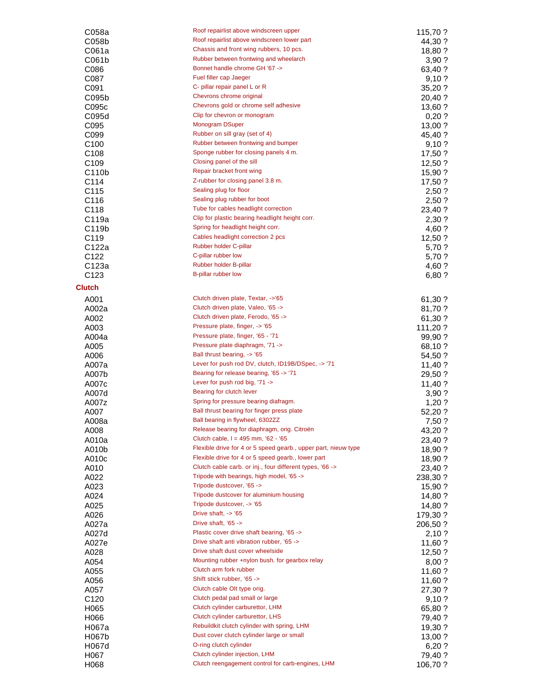| C058a            | Roof repairlist above windscreen upper                                   | 115,70 ?          |
|------------------|--------------------------------------------------------------------------|-------------------|
| C058b            | Roof repairlist above windscreen lower part                              | 44,30 ?           |
| C061a            | Chassis and front wing rubbers, 10 pcs.                                  | 18,80 ?           |
| C061b            | Rubber between frontwing and wheelarch<br>Bonnet handle chrome GH '67 -> | 3,90?             |
| C086<br>C087     | Fuel filler cap Jaeger                                                   | 63,40 ?<br>9,10?  |
| C091             | C- pillar repair panel L or R                                            | 35,20 ?           |
| C095b            | Chevrons chrome original                                                 | 20,40 ?           |
| C095c            | Chevrons gold or chrome self adhesive                                    | 13,60 ?           |
| C095d            | Clip for chevron or monogram                                             | 0,20?             |
| C095             | Monogram DSuper                                                          | 13,00 ?           |
| C099             | Rubber on sill gray (set of 4)                                           | 45,40 ?           |
| C <sub>100</sub> | Rubber between frontwing and bumper                                      | 9,10?             |
| C <sub>108</sub> | Sponge rubber for closing panels 4 m.                                    | 17,50 ?           |
| C <sub>109</sub> | Closing panel of the sill                                                | $12,50$ ?         |
| C110b            | Repair bracket front wing                                                | 15,90 ?           |
| C114             | Z-rubber for closing panel 3.8 m.                                        | 17,50 ?           |
| C115             | Sealing plug for floor<br>Sealing plug rubber for boot                   | 2,50?             |
| C116<br>C118     | Tube for cables headlight correction                                     | 2,50 ?            |
| C119a            | Clip for plastic bearing headlight height corr.                          | 23,40 ?<br>2,30 ? |
| C119b            | Spring for headlight height corr.                                        | 4,60 ?            |
| C <sub>119</sub> | Cables headlight correction 2 pcs                                        | 12,50 ?           |
| C122a            | Rubber holder C-pillar                                                   | 5,70 ?            |
| C <sub>122</sub> | C-pillar rubber low                                                      | 5,70 ?            |
| C123a            | Rubber holder B-pillar                                                   | 4,60 ?            |
| C <sub>123</sub> | B-pillar rubber low                                                      | 6,80 ?            |
| <b>Clutch</b>    |                                                                          |                   |
| A001             | Clutch driven plate, Textar, ->'65                                       | 61,30 ?           |
| A002a            | Clutch driven plate, Valeo, '65 ->                                       | 81,70 ?           |
| A002             | Clutch driven plate, Ferodo, '65 ->                                      | 61,30 ?           |
| A003             | Pressure plate, finger, -> '65                                           | 111,20 ?          |
| A004a            | Pressure plate, finger, '65 - '71                                        | 99,90 ?           |
| A005             | Pressure plate diaphragm, '71 ->                                         | 68,10 ?           |
| A006             | Ball thrust bearing, -> '65                                              | 54,50 ?           |
| A007a            | Lever for push rod DV, clutch, ID19B/DSpec, -> '71                       | 11,40 ?           |
| A007b            | Bearing for release bearing, '65 -> '71                                  | 29,50 ?           |
| A007c            | Lever for push rod big, '71 ->                                           | 11,40 ?           |
| A007d            | Bearing for clutch lever<br>Spring for pressure bearing diafragm.        | 3,90?             |
| A007z<br>A007    | Ball thrust bearing for finger press plate                               | 1,20?             |
| A008a            | Ball bearing in flywheel, 6302ZZ                                         | 52,20 ?<br>7,50 ? |
| A008             | Release bearing for diaphragm, orig. Citroën                             | 43,20 ?           |
| A010a            | Clutch cable, $I = 495$ mm, $62 - 65$                                    | 23,40 ?           |
| A010b            | Flexible drive for 4 or 5 speed gearb., upper part, nieuw type           | 18,90 ?           |
| A010c            | Flexible drive for 4 or 5 speed gearb., lower part                       | 18,90 ?           |
| A010             | Clutch cable carb. or inj., four different types, '66 ->                 | 23,40 ?           |
| A022             | Tripode with bearings, high model, '65 ->                                | 238,30 ?          |
| A023             | Tripode dustcover, '65 ->                                                | 15,90 ?           |
| A024             | Tripode dustcover for aluminium housing                                  | 14,80 ?           |
| A025             | Tripode dustcover, -> '65                                                | 14,80 ?           |
| A026             | Drive shaft, $\sim$ '65<br>Drive shaft, '65 ->                           | 179,30 ?          |
| A027a            | Plastic cover drive shaft bearing, '65 ->                                | 206,50 ?          |
| A027d<br>A027e   | Drive shaft anti vibration rubber, '65 ->                                | 2,10 ?            |
| A028             | Drive shaft dust cover wheelside                                         | 11,60 ?<br>12,50? |
| A054             | Mounting rubber +nylon bush. for gearbox relay                           | 8,00?             |
| A055             | Clutch arm fork rubber                                                   | 11,60 ?           |
| A056             | Shift stick rubber, '65 ->                                               | 11,60 ?           |
| A057             | Clutch cable Olt type orig.                                              | 27,30 ?           |
| C <sub>120</sub> | Clutch pedal pad small or large                                          | 9,10?             |
| H065             | Clutch cylinder carburettor, LHM                                         | 65,80 ?           |
| H066             | Clutch cylinder carburettor, LHS                                         | 79,40 ?           |
| H067a            | Rebuildkit clutch cylinder with spring, LHM                              | 19,30 ?           |
| H067b            | Dust cover clutch cylinder large or small                                | 13,00 ?           |
| H067d            | O-ring clutch cylinder                                                   | 6,20?             |
| H067             | Clutch cylinder injection, LHM                                           | 79,40 ?           |
| H068             | Clutch reengagement control for carb-engines, LHM                        | 106,70 ?          |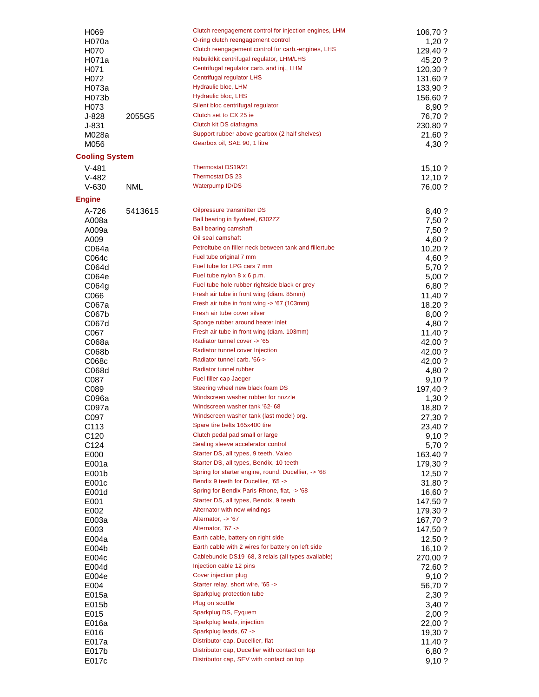| H069                     |            | Clutch reengagement control for injection engines, LHM                                 | 106,70 ?             |
|--------------------------|------------|----------------------------------------------------------------------------------------|----------------------|
| H070a                    |            | O-ring clutch reengagement control                                                     | 1,20?                |
| H <sub>0</sub> 70        |            | Clutch reengagement control for carb.-engines, LHS                                     | 129,40 ?             |
| H071a                    |            | Rebuildkit centrifugal regulator, LHM/LHS<br>Centrifugal regulator carb. and inj., LHM | 45,20 ?              |
| H071<br>H072             |            | Centrifugal regulator LHS                                                              | 120,30 ?<br>131,60 ? |
| H073a                    |            | Hydraulic bloc, LHM                                                                    | 133,90 ?             |
| H073b                    |            | Hydraulic bloc, LHS                                                                    | 156,60 ?             |
| H073                     |            | Silent bloc centrifugal regulator                                                      | 8,90 ?               |
| $J-828$                  | 2055G5     | Clutch set to CX 25 ie                                                                 | 76,70 ?              |
| $J-831$                  |            | Clutch kit DS diafragma                                                                | 230,80 ?             |
| M028a                    |            | Support rubber above gearbox (2 half shelves)                                          | 21,60 ?              |
| M056                     |            | Gearbox oil, SAE 90, 1 litre                                                           | 4,30 ?               |
| <b>Cooling System</b>    |            |                                                                                        |                      |
| $V-481$                  |            | Thermostat DS19/21                                                                     | 15,10?               |
| $V-482$                  |            | Thermostat DS 23                                                                       | 12,10?               |
| $V - 630$                | <b>NML</b> | <b>Waterpump ID/DS</b>                                                                 | 76,00 ?              |
| <b>Engine</b>            |            |                                                                                        |                      |
| A-726                    | 5413615    | Oilpressure transmitter DS                                                             | 8,40 ?               |
| A008a                    |            | Ball bearing in flywheel, 6302ZZ<br><b>Ball bearing camshaft</b>                       | 7,50 ?               |
| A009a<br>A009            |            | Oil seal camshaft                                                                      | 7,50 ?<br>4,60 ?     |
| C064a                    |            | Petroltube on filler neck between tank and fillertube                                  | 10,20 ?              |
| C064 <sub>c</sub>        |            | Fuel tube original 7 mm                                                                | 4,60 ?               |
| C064d                    |            | Fuel tube for LPG cars 7 mm                                                            | 5,70 ?               |
| C064e                    |            | Fuel tube nylon 8 x 6 p.m.                                                             | 5,00?                |
| CO64g                    |            | Fuel tube hole rubber rightside black or grey                                          | 6,80 ?               |
| C066                     |            | Fresh air tube in front wing (diam. 85mm)                                              | 11,40 ?              |
| C067a                    |            | Fresh air tube in front wing -> '67 (103mm)                                            | 18,20 ?              |
| C067b                    |            | Fresh air tube cover silver<br>Sponge rubber around heater inlet                       | 8,00?                |
| C067d<br>C067            |            | Fresh air tube in front wing (diam. 103mm)                                             | 4,80 ?<br>11,40 ?    |
| C068a                    |            | Radiator tunnel cover -> '65                                                           | 42,00 ?              |
| C068b                    |            | Radiator tunnel cover Injection                                                        | 42,00 ?              |
| C068c                    |            | Radiator tunnel carb. '66->                                                            | 42,00 ?              |
| C068d                    |            | Radiator tunnel rubber                                                                 | 4,80 ?               |
| C087                     |            | Fuel filler cap Jaeger                                                                 | 9,10?                |
| C089                     |            | Steering wheel new black foam DS                                                       | 197,40 ?             |
| C096a                    |            | Windscreen washer rubber for nozzle                                                    | 1,30?                |
| C097a                    |            | Windscreen washer tank '62-'68                                                         | 18,80 ?              |
| C097                     |            | Windscreen washer tank (last model) org.<br>Spare tire belts 165x400 tire              | 27,30 ?              |
| C113<br>C <sub>120</sub> |            | Clutch pedal pad small or large                                                        | 23,40 ?<br>9,10?     |
| C <sub>124</sub>         |            | Sealing sleeve accelerator control                                                     | 5,70 ?               |
| E000                     |            | Starter DS, all types, 9 teeth, Valeo                                                  | 163,40 ?             |
| E001a                    |            | Starter DS, all types, Bendix, 10 teeth                                                | 179,30 ?             |
| E001b                    |            | Spring for starter engine, round, Ducellier, -> '68                                    | 12,50?               |
| E001c                    |            | Bendix 9 teeth for Ducellier, '65 ->                                                   | 31,80 ?              |
| E001d                    |            | Spring for Bendix Paris-Rhone, flat, -> '68                                            | 16,60 ?              |
| E001                     |            | Starter DS, all types, Bendix, 9 teeth                                                 | 147,50 ?             |
| E002                     |            | Alternator with new windings<br>Alternator, -> '67                                     | 179,30 ?             |
| E003a<br>E003            |            | Alternator, '67 ->                                                                     | 167,70 ?<br>147,50 ? |
| E004a                    |            | Earth cable, battery on right side                                                     | 12,50 ?              |
| E004b                    |            | Earth cable with 2 wires for battery on left side                                      | 16, 10?              |
| E004 <sub>c</sub>        |            | Cablebundle DS19 '68, 3 relais (all types available)                                   | 270,00 ?             |
| E004d                    |            | Injection cable 12 pins                                                                | 72,60 ?              |
| E004e                    |            | Cover injection plug                                                                   | 9,10 ?               |
| E004                     |            | Starter relay, short wire, '65 ->                                                      | 56,70 ?              |
| E015a                    |            | Sparkplug protection tube<br>Plug on scuttle                                           | 2,30?                |
| E015b                    |            | Sparkplug DS, Eyquem                                                                   | 3,40 ?               |
| E015<br>E016a            |            | Sparkplug leads, injection                                                             | 2,00?<br>22,00 ?     |
| E016                     |            | Sparkplug leads, 67 ->                                                                 | 19,30 ?              |
| E017a                    |            | Distributor cap, Ducellier, flat                                                       | 11,40 ?              |
| E017b                    |            | Distributor cap, Ducellier with contact on top                                         | 6,80 ?               |
| E017c                    |            | Distributor cap, SEV with contact on top                                               | 9,10?                |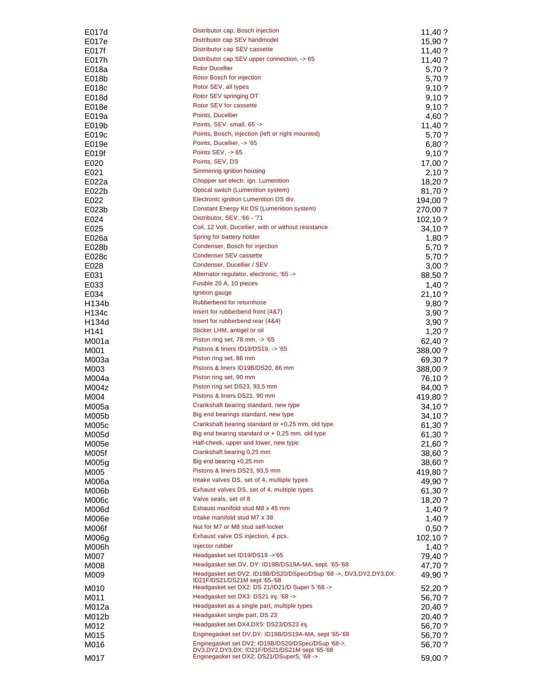| E017d             | Distributor cap, Bosch injection                                  | $11,40$ ? |
|-------------------|-------------------------------------------------------------------|-----------|
| E017e             | Distributor cap SEV handmodel                                     | 15,90 ?   |
| E017f             | Distributor cap SEV cassette                                      | 11,40?    |
| E017h             | Distributor cap SEV upper connection, -> 65                       | 11,40 ?   |
| E018a             | <b>Rotor Ducellier</b>                                            | 5,70 ?    |
| E018b             | Rotor Bosch for injection                                         | 5,70 ?    |
|                   | Rotor SEV, all types                                              | 9,10?     |
| E018c             | Rotor SEV springing OT                                            |           |
| E018d             |                                                                   | 9,10?     |
| E018e             | Rotor SEV for cassette                                            | 9,10?     |
| E019a             | Points, Ducellier                                                 | 4,60 ?    |
| E019b             | Points, SEV, small, 65 ->                                         | 11,40?    |
| E019 <sub>c</sub> | Points, Bosch, injection (left or right mounted)                  | 5,70 ?    |
| E019e             | Points, Ducellier, -> '65                                         | 6,80 ?    |
| E019f             | Points $SEV, ->65$                                                | 9,10?     |
| E020              | Points, SEV, DS                                                   | 17,00 ?   |
| E021              | Simmering ignition housing                                        | 2,10?     |
| E022a             | Chopper set electr. ign. Lumenition                               | 18,20 ?   |
| E022b             | Optical switch (Lumenition system)                                | 81,70 ?   |
| E022              | Electronic ignition Lumenition DS div.                            | 194,00 ?  |
| E023b             | <b>Constant Energy Kit DS (Lumenition system)</b>                 | 270,00?   |
|                   | Distributor, SEV, '66 - '71                                       |           |
| E024              |                                                                   | 102, 10?  |
| E025              | Coil, 12 Volt, Ducellier, with or without resistance              | 34,10 ?   |
| E026a             | Spring for battery holder                                         | $1,80$ ?  |
| E028b             | Condenser, Bosch for injection                                    | 5,70 ?    |
| E028c             | Condenser SEV cassette                                            | 5,70 ?    |
| E028              | Condenser, Ducellier / SEV                                        | 3,00?     |
| E031              | Alternator regulator, electronic, '65 ->                          | 88,50 ?   |
| E033              | Fusible 20 A, 10 pieces                                           | $1,40$ ?  |
| E034              | Ignition gauge                                                    | 21,10 ?   |
| H134b             | Rubberbend for returnhose                                         | 9,80?     |
| H134c             | Insert for rubberbend front (4&7)                                 | 3,90?     |
| H134d             | Insert for rubberbend rear (4&4)                                  | 3,90?     |
| H141              | Sticker LHM, antigel or oil                                       | 1,20?     |
|                   | Piston ring set, 78 mm, -> '65                                    |           |
| M001a             |                                                                   | 62,40 ?   |
| M001              | Pistons & liners ID19/DS19, -> '65                                | 388,00 ?  |
| M003a             | Piston ring set, 86 mm                                            | 69,30 ?   |
| M003              | Pistons & liners ID19B/DS20, 86 mm                                | 388,00 ?  |
| M004a             | Piston ring set, 90 mm                                            | 76,10 ?   |
| M004z             | Piston ring set DS23, 93,5 mm                                     | 84,00 ?   |
| M004              | Pistons & liners DS21, 90 mm                                      | 419,80 ?  |
| M005a             | Crankshaft bearing standard, new type                             | 34,10 ?   |
| M005b             | Big end bearings standard, new type                               | 34,10 ?   |
| M005c             | Crankshaft bearing standard or +0,25 mm, old type                 | 61,30?    |
| M005d             | Big end bearing standard or $+$ 0,25 mm, old type                 | 61,30 ?   |
| M005e             | Half-cheek, upper and lower, new type                             | 21,60 ?   |
| M005f             | Crankshaft bearing 0,25 mm                                        |           |
|                   | Big end bearing +0,25 mm                                          | 38,60 ?   |
| M005g             | Pistons & liners DS23, 93,5 mm                                    | 38,60 ?   |
| M005              |                                                                   | 419,80 ?  |
| M006a             | Intake valves DS, set of 4, multiple types                        | 49,90 ?   |
| M006b             | Exhaust valves DS, set of 4, multiple types                       | 61,30 ?   |
| M006c             | Valve seals, set of 8                                             | 18,20 ?   |
| M006d             | Exhaust manifold stud M8 x 45 mm                                  | $1,40$ ?  |
| M006e             | Intake manifold stud M7 x 38                                      | $1,40$ ?  |
| M006f             | Nut for M7 or M8 stud self-locker                                 | 0,50?     |
| M006g             | Exhaust valve DS injection, 4 pcs.                                | 102,10 ?  |
| M006h             | Injector rubber                                                   | $1,40$ ?  |
| M007              | Headgasket set ID19/DS19 ->'65                                    | 79,40 ?   |
| M008              | Headgasket set DV, DY: ID19B/DS19A-MA, sept. '65-'68              | 47,70 ?   |
| M009              | Headgasket set DV2: ID19B/DS20/DSpec/DSup '68 ->, DV3,DY2,DY3,DX: | 49,90 ?   |
|                   | ID21F/DS21/DS21M sept '65-'68                                     |           |
| M010              | Headgasket set DX2: DS 21/ID21/D Super 5 '68 ->                   | 52,20 ?   |
| M011              | Headgasket set DX3: DS21 inj. '68 ->                              | 56,70 ?   |
| M012a             | Headgasket as a single part, multiple types                       | 20,40 ?   |
| M012b             | Headgasket single part, DS 23                                     | 20,40 ?   |
| M012              | Headgasket set DX4, DX5: DS23/DS23 inj.                           | 56,70 ?   |
| M015              | Enginegasket set DV, DY: ID19B/DS19A-MA, sept '65-'68             | 56,70 ?   |
|                   | Enginegasket set DV2: ID19B/DS20/DSpec/DSup '68->,                |           |
| M016              | DV3, DY2, DY3, DX: ID21F/DS21/DS21M sept '65-'68                  | 56,70 ?   |
| M017              | Enginegasket set DX2: DS21/DSuper5, '68 ->                        | 59,00 ?   |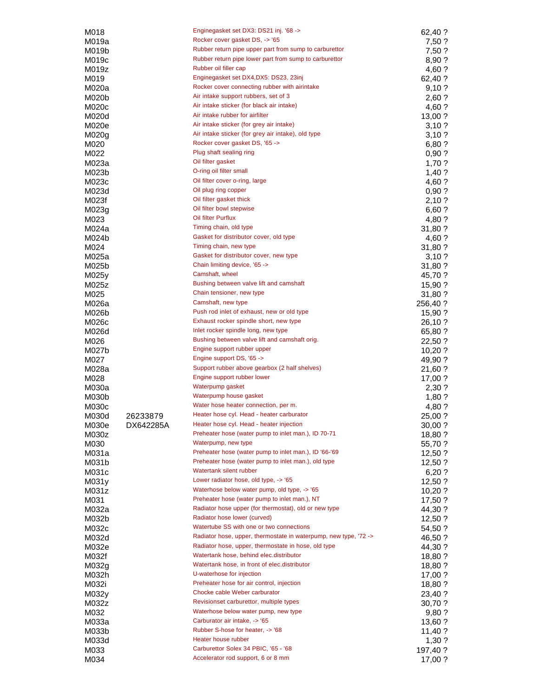| M018           |           | Enginegasket set DX3: DS21 inj. '68 ->                                                                       | 62,40 ?             |
|----------------|-----------|--------------------------------------------------------------------------------------------------------------|---------------------|
| M019a          |           | Rocker cover gasket DS, -> '65                                                                               | 7,50 ?              |
| M019b          |           | Rubber return pipe upper part from sump to carburettor                                                       | 7,50 ?              |
| M019c          |           | Rubber return pipe lower part from sump to carburettor                                                       | 8,90 ?              |
| M019z          |           | Rubber oil filler cap                                                                                        | 4,60 ?              |
| M019           |           | Enginegasket set DX4, DX5: DS23, 23inj<br>Rocker cover connecting rubber with airintake                      | 62,40 ?             |
| M020a          |           | Air intake support rubbers, set of 3                                                                         | 9,10?               |
| M020b          |           | Air intake sticker (for black air intake)                                                                    | 2,60 ?              |
| M020c<br>M020d |           | Air intake rubber for airfilter                                                                              | 4,60 ?<br>13,00 ?   |
| M020e          |           | Air intake sticker (for grey air intake)                                                                     | 3,10?               |
| M020g          |           | Air intake sticker (for grey air intake), old type                                                           | 3,10?               |
| M020           |           | Rocker cover gasket DS, '65 ->                                                                               | 6,80 ?              |
| M022           |           | Plug shaft sealing ring                                                                                      | 0,90?               |
| M023a          |           | Oil filter gasket                                                                                            | 1,70?               |
| M023b          |           | O-ring oil filter small                                                                                      | $1,40$ ?            |
| M023c          |           | Oil filter cover o-ring, large                                                                               | 4,60 ?              |
| M023d          |           | Oil plug ring copper                                                                                         | 0,90?               |
| M023f          |           | Oil filter gasket thick                                                                                      | 2,10?               |
| M023g          |           | Oil filter bowl stepwise                                                                                     | 6,60 ?              |
| M023           |           | Oil filter Purflux                                                                                           | 4,80 ?              |
| M024a          |           | Timing chain, old type                                                                                       | 31,80 ?             |
| M024b          |           | Gasket for distributor cover, old type                                                                       | 4,60 ?              |
| M024           |           | Timing chain, new type                                                                                       | 31,80 ?             |
| M025a          |           | Gasket for distributor cover, new type                                                                       | 3,10?               |
| M025b          |           | Chain limiting device, '65 ->                                                                                | 31,80 ?             |
| M025y          |           | Camshaft, wheel<br>Bushing between valve lift and camshaft                                                   | 45,70 ?             |
| M025z          |           | Chain tensioner, new type                                                                                    | 15,90 ?             |
| M025<br>M026a  |           | Camshaft, new type                                                                                           | 31,80 ?<br>256,40 ? |
| M026b          |           | Push rod inlet of exhaust, new or old type                                                                   | 15,90 ?             |
| M026c          |           | Exhaust rocker spindle short, new type                                                                       | 26,10 ?             |
| M026d          |           | Inlet rocker spindle long, new type                                                                          | 65,80 ?             |
| M026           |           | Bushing between valve lift and camshaft orig.                                                                | 22,50 ?             |
| M027b          |           | Engine support rubber upper                                                                                  | 10,20?              |
| M027           |           | Engine support DS, '65 ->                                                                                    | 49,90 ?             |
| M028a          |           | Support rubber above gearbox (2 half shelves)                                                                | 21,60 ?             |
| M028           |           | Engine support rubber lower                                                                                  | 17,00 ?             |
| M030a          |           | Waterpump gasket                                                                                             | 2,30 ?              |
| M030b          |           | Waterpump house gasket                                                                                       | $1,80$ ?            |
| M030c          |           | Water hose heater connection, per m.                                                                         | 4,80 ?              |
| M030d          | 26233879  | Heater hose cyl. Head - heater carburator                                                                    | 25,00 ?             |
| M030e          | DX642285A | Heater hose cyl. Head - heater injection                                                                     | 30,00 ?             |
| M030z          |           | Preheater hose (water pump to inlet man.), ID 70-71                                                          | 18,80 ?             |
| M030           |           | Waterpump, new type                                                                                          | 55,70 ?             |
| M031a          |           | Preheater hose (water pump to inlet man.), ID '66-'69<br>Preheater hose (water pump to inlet man.), old type | 12,50 ?             |
| M031b          |           | Watertank silent rubber                                                                                      | $12,50$ ?           |
| M031c          |           | Lower radiator hose, old type, -> '65                                                                        | 6,20?               |
| M031y<br>M031z |           | Waterhose below water pump, old type, -> '65                                                                 | 12,50 ?<br>10,20?   |
| M031           |           | Preheater hose (water pump to inlet man.), NT                                                                | 17,50 ?             |
| M032a          |           | Radiator hose upper (for thermostat), old or new type                                                        | 44,30 ?             |
| M032b          |           | Radiator hose lower (curved)                                                                                 | 12,50?              |
| M032c          |           | Watertube SS with one or two connections                                                                     | 54,50 ?             |
| M032d          |           | Radiator hose, upper, thermostate in waterpump, new type, '72 ->                                             | 46,50 ?             |
| M032e          |           | Radiator hose, upper, thermostate in hose, old type                                                          | 44,30 ?             |
| M032f          |           | Watertank hose, behind elec.distributor                                                                      | 18,80 ?             |
| M032g          |           | Watertank hose, in front of elec.distributor                                                                 | 18,80 ?             |
| M032h          |           | U-waterhose for injection                                                                                    | 17,00 ?             |
| M032i          |           | Preheater hose for air control, injection                                                                    | 18,80 ?             |
| M032y          |           | Chocke cable Weber carburator                                                                                | 23,40 ?             |
| M032z          |           | Revisionset carburettor, multiple types                                                                      | 30,70 ?             |
| M032           |           | Waterhose below water pump, new type                                                                         | 9,80?               |
| M033a          |           | Carburator air intake, -> '65<br>Rubber S-hose for heater, -> '68                                            | 13,60 ?             |
| M033b          |           | Heater house rubber                                                                                          | 11,40 ?             |
| M033d<br>M033  |           | Carburettor Solex 34 PBIC, '65 - '68                                                                         | 1,30 ?              |
| M034           |           | Accelerator rod support, 6 or 8 mm                                                                           | 197,40 ?<br>17,00 ? |
|                |           |                                                                                                              |                     |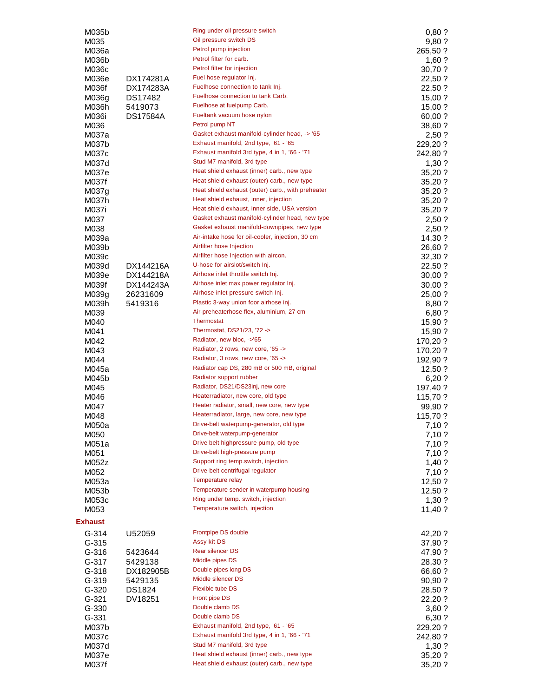| M035b                  |                      | Ring under oil pressure switch                                                                  | 0,80?              |
|------------------------|----------------------|-------------------------------------------------------------------------------------------------|--------------------|
| M035                   |                      | Oil pressure switch DS                                                                          | 9,80 ?             |
| M036a                  |                      | Petrol pump injection                                                                           | 265,50 ?           |
| M036b                  |                      | Petrol filter for carb.                                                                         | $1,60$ ?           |
| M036c                  |                      | Petrol filter for injection<br>Fuel hose regulator Inj.                                         | 30,70 ?            |
| M036e<br>M036f         | DX174281A            | Fuelhose connection to tank Inj.                                                                | 22,50 ?<br>22,50 ? |
| M036g                  | DX174283A<br>DS17482 | Fuelhose connection to tank Carb.                                                               | 15,00?             |
| M036h                  | 5419073              | Fuelhose at fuelpump Carb.                                                                      | 15,00?             |
| M036i                  | DS17584A             | Fueltank vacuum hose nylon                                                                      | 60,00 ?            |
| M036                   |                      | Petrol pump NT                                                                                  | 38,60 ?            |
| M037a                  |                      | Gasket exhaust manifold-cylinder head, -> '65                                                   | 2,50 ?             |
| M037b                  |                      | Exhaust manifold, 2nd type, '61 - '65                                                           | 229,20 ?           |
| M037c                  |                      | Exhaust manifold 3rd type, 4 in 1, '66 - '71                                                    | 242,80 ?           |
| M037d                  |                      | Stud M7 manifold, 3rd type                                                                      | 1,30.7             |
| M037e                  |                      | Heat shield exhaust (inner) carb., new type                                                     | 35,20 ?            |
| M037f                  |                      | Heat shield exhaust (outer) carb., new type                                                     | 35,20 ?            |
| M037g                  |                      | Heat shield exhaust (outer) carb., with preheater                                               | 35,20 ?            |
| M037h                  |                      | Heat shield exhaust, inner, injection                                                           | 35,20 ?            |
| M037i                  |                      | Heat shield exhaust, inner side, USA version<br>Gasket exhaust manifold-cylinder head, new type | 35,20 ?            |
| M037                   |                      | Gasket exhaust manifold-downpipes, new type                                                     | 2,50?              |
| M038<br>M039a          |                      | Air-intake hose for oil-cooler, injection, 30 cm                                                | 2,50?<br>14,30 ?   |
| M039b                  |                      | Airfilter hose Injection                                                                        | 26,60 ?            |
| M039c                  |                      | Airfilter hose Injection with aircon.                                                           | 32,30 ?            |
| M039d                  | DX144216A            | U-hose for airslot/switch Inj.                                                                  | 22,50 ?            |
| M039e                  | DX144218A            | Airhose inlet throttle switch Inj.                                                              | 30,00 ?            |
| M039f                  | DX144243A            | Airhose inlet max power regulator Inj.                                                          | 30,00?             |
| M039g                  | 26231609             | Airhose inlet pressure switch Inj.                                                              | 25,00 ?            |
| M039h                  | 5419316              | Plastic 3-way union foor airhose inj.                                                           | 8,80 ?             |
| M039                   |                      | Air-preheaterhose flex, aluminium, 27 cm                                                        | 6,80 ?             |
| M040                   |                      | <b>Thermostat</b>                                                                               | 15,90?             |
| M041                   |                      | Thermostat, DS21/23, '72 ->                                                                     | 15,90 ?            |
| M042                   |                      | Radiator, new bloc, ->'65                                                                       | 170,20 ?           |
| M043                   |                      | Radiator, 2 rows, new core, '65 -><br>Radiator, 3 rows, new core, '65 ->                        | 170,20 ?           |
| M044                   |                      | Radiator cap DS, 280 mB or 500 mB, original                                                     | 192,90 ?<br>12,50? |
| M045a<br>M045b         |                      | Radiator support rubber                                                                         | 6,20?              |
| M045                   |                      | Radiator, DS21/DS23inj, new core                                                                | 197,40 ?           |
| M046                   |                      | Heaterradiator, new core, old type                                                              | 115,70 ?           |
| M047                   |                      | Heater radiator, small, new core, new type                                                      | 99,90 ?            |
| M048                   |                      | Heaterradiator, large, new core, new type                                                       | 115,70 ?           |
| M050a                  |                      | Drive-belt waterpump-generator, old type                                                        | 7,10.7             |
| M050                   |                      | Drive-belt waterpump-generator                                                                  | 7,10?              |
| M051a                  |                      | Drive belt highpressure pump, old type                                                          | 7,10 ?             |
| M051                   |                      | Drive-belt high-pressure pump                                                                   | 7,10 ?             |
| M052z                  |                      | Support ring temp.switch, injection                                                             | $1,40$ ?           |
| M052                   |                      | Drive-belt centrifugal regulator                                                                | 7,10 ?             |
| M053a                  |                      | Temperature relay                                                                               | 12,50 ?            |
| M053b                  |                      | Temperature sender in waterpump housing<br>Ring under temp. switch, injection                   | 12,50 ?            |
| M053c                  |                      | Temperature switch, injection                                                                   | 1,30.7             |
| M053                   |                      |                                                                                                 | 11,40 ?            |
| <b>Exhaust</b>         |                      |                                                                                                 |                    |
| $G - 314$              | U52059               | Frontpipe DS double<br>Assy kit DS                                                              | 42,20 ?            |
| $G - 315$              |                      | Rear silencer DS                                                                                | 37,90 ?            |
| $G - 316$<br>$G - 317$ | 5423644<br>5429138   | Middle pipes DS                                                                                 | 47,90 ?            |
| $G-318$                | DX182905B            | Double pipes long DS                                                                            | 28,30 ?<br>66,60 ? |
| $G-319$                | 5429135              | Middle silencer DS                                                                              | 90,90?             |
| $G-320$                | DS1824               | Flexible tube DS                                                                                | 28,50 ?            |
| $G-321$                | DV18251              | Front pipe DS                                                                                   | 22,20 ?            |
| $G - 330$              |                      | Double clamb DS                                                                                 | 3,60?              |
| $G - 331$              |                      | Double clamb DS                                                                                 | 6,30 ?             |
| M037b                  |                      | Exhaust manifold, 2nd type, '61 - '65                                                           | 229,20 ?           |
| M037c                  |                      | Exhaust manifold 3rd type, 4 in 1, '66 - '71                                                    | 242,80 ?           |
| M037d                  |                      | Stud M7 manifold, 3rd type                                                                      | 1,30?              |
| M037e                  |                      | Heat shield exhaust (inner) carb., new type                                                     | 35,20 ?            |
| M037f                  |                      | Heat shield exhaust (outer) carb., new type                                                     | 35,20 ?            |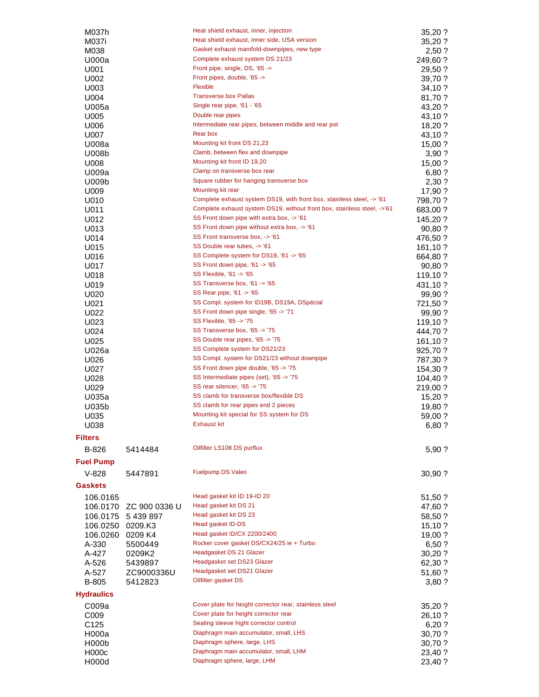| M037h              |               | Heat shield exhaust, inner, injection                                   | 35,20 ?  |
|--------------------|---------------|-------------------------------------------------------------------------|----------|
| M037i              |               | Heat shield exhaust, inner side, USA version                            | 35,20 ?  |
| M038               |               | Gasket exhaust manifold-downpipes, new type                             | 2,50?    |
| U000a              |               | Complete exhaust system DS 21/23                                        | 249,60 ? |
| U001               |               | Front pipe, single, DS, '65 ->                                          | 29,50 ?  |
| U002               |               | Front pipes, double, '65 ->                                             | 39,70 ?  |
| U003               |               | <b>Flexible</b>                                                         | 34,10?   |
| U004               |               | <b>Transverse box Pallas</b>                                            | 81,70 ?  |
| U005a              |               | Single rear pipe, '61 - '65                                             | 43,20 ?  |
| U005               |               | Double rear pipes                                                       | 43,10 ?  |
| U006               |               | Intermediate rear pipes, between middle and rear pot                    | 18,20 ?  |
| U007               |               | Rear box                                                                | 43,10 ?  |
| U008a              |               | Mounting kit front DS 21,23                                             | 15,00 ?  |
| U008b              |               | Clamb, between flex and downpipe                                        | 3,90?    |
| U008               |               | Mounting kit front ID 19,20                                             | 15,00 ?  |
| U009a              |               | Clamp on transverse box rear                                            | 6,80 ?   |
| U009b              |               | Square rubber for hanging transverse box                                | 2,30 ?   |
| U009               |               | Mounting kit rear                                                       | 17,90 ?  |
| U010               |               | Complete exhaust system DS19, with front box, stainless steel, -> '61   | 798,70 ? |
|                    |               | Complete exhaust system DS19, without front box, stainless steel, ->'61 |          |
| U011               |               | SS Front down pipe with extra box, -> '61                               | 683,00 ? |
| U012               |               | SS Front down pipe without extra box, -> '61                            | 145,20 ? |
| U013               |               |                                                                         | 90,80 ?  |
| U014               |               | SS Front transverse box, -> '61                                         | 476,50 ? |
| U015               |               | SS Double rear tubes, -> '61                                            | 161,10 ? |
| U016               |               | SS Complete system for DS19, '61 -> '65                                 | 664,80 ? |
| U017               |               | SS Front down pipe, '61 -> '65                                          | 90,80 ?  |
| U018               |               | SS Flexible, '61 -> '65                                                 | 119,10?  |
| U019               |               | SS Transverse box, '61 -> '65                                           | 431,10 ? |
| U020               |               | SS Rear pipe, '61 -> '65                                                | 99,90 ?  |
| U021               |               | SS Compl. system for ID19B, DS19A, DSpécial                             | 721,50 ? |
| U022               |               | SS Front down pipe single, '65 -> '71                                   | 99,90 ?  |
| U023               |               | SS Flexible, '65 -> '75                                                 | 119,10 ? |
| U024               |               | SS Transverse box, '65 -> '75                                           | 444,70 ? |
| U025               |               | SS Double rear pipes, '65 -> '75                                        | 161,10 ? |
| U026a              |               | SS Complete system for DS21/23                                          | 925,70 ? |
| U026               |               | SS Compl. system for DS21/23 without downpipe                           | 787,30 ? |
| U027               |               | SS Front down pipe double, '65 -> '75                                   | 154,30 ? |
| U028               |               | SS Intermediate pipes (set), '65 -> '75                                 |          |
| U029               |               | SS rear silencer, '65 -> '75                                            | 104,40 ? |
|                    |               | SS clamb for transverse box/flexible DS                                 | 219,00 ? |
| U035a              |               | SS clamb for rear pipes end 2 pieces                                    | 15,20?   |
| U035b              |               |                                                                         | 19,80 ?  |
| U035               |               | Mounting kit special for SS system for DS                               | 59,00 ?  |
| U038               |               | Exhaust kit                                                             | 6,80 ?   |
| <b>Filters</b>     |               |                                                                         |          |
| B-826              | 5414484       | Oilfilter LS108 DS purflux                                              | 5,90 ?   |
| <b>Fuel Pump</b>   |               |                                                                         |          |
| $V-828$            | 5447891       | <b>Fuelpump DS Valeo</b>                                                | 30,90 ?  |
| <b>Gaskets</b>     |               |                                                                         |          |
| 106.0165           |               | Head gasket kit ID 19-ID 20                                             | 51,50 ?  |
| 106.0170           | ZC 900 0336 U | Head gasket kit DS 21                                                   | 47,60 ?  |
| 106.0175           | 5 439 897     | Head gasket kit DS 23                                                   | 58,50 ?  |
| 106.0250           | 0209.K3       | Head gasket ID-DS                                                       | 15,10 ?  |
| 106.0260           | 0209 K4       | Head gasket ID/CX 2200/2400                                             | 19,00 ?  |
| A-330              | 5500449       | Rocker cover gasket DS/CX24/25 ie + Turbo                               | 6,50 ?   |
| A-427              | 0209K2        | Headgasket DS 21 Glazer                                                 | 30,20 ?  |
| A-526              | 5439897       | Headgasket set DS23 Glazer                                              | 62,30 ?  |
| A-527              | ZC9000336U    | Headgasket set DS21 Glazer                                              | 51,60 ?  |
| B-805              | 5412823       | Oilfilter gasket DS                                                     | 3,80?    |
| <b>Hydraulics</b>  |               |                                                                         |          |
| C009a              |               | Cover plate for height corrector rear, stainless steel                  | 35,20 ?  |
| C009               |               | Cover plate for height corrector rear                                   | 26,10 ?  |
| C125               |               | Sealing sleeve hight corrector control                                  | 6,20 ?   |
| H000a              |               | Diaphragm main accumulator, small, LHS                                  | 30,70 ?  |
| H <sub>000</sub> b |               | Diaphragm sphere, large, LHS                                            | 30,70 ?  |
| H000c              |               | Diaphragm main accumulator, small, LHM                                  | 23,40 ?  |
| H000d              |               | Diaphragm sphere, large, LHM                                            | 23,40 ?  |
|                    |               |                                                                         |          |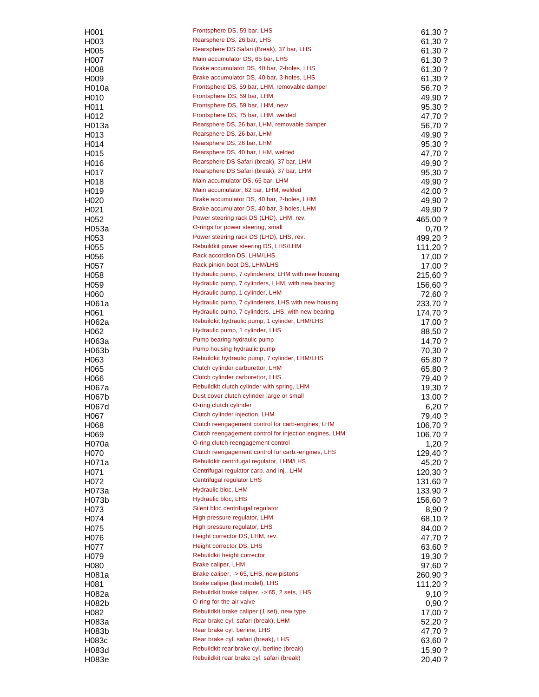| H <sub>001</sub>  | Frontsphere DS, 59 bar, LHS                            | 61,30 ?  |
|-------------------|--------------------------------------------------------|----------|
| H003              | Rearsphere DS, 26 bar, LHS                             | 61,30 ?  |
|                   |                                                        |          |
| H <sub>005</sub>  | Rearsphere DS Safari (Break), 37 bar, LHS              | 61,30 ?  |
| H007              | Main accumulator DS, 65 bar, LHS                       | 61,30 ?  |
| H <sub>008</sub>  | Brake accumulator DS, 40 bar, 2-holes, LHS             | 61,30 ?  |
| H <sub>009</sub>  | Brake accumulator DS, 40 bar, 3-holes, LHS             | 61,30 ?  |
| H010a             | Frontsphere DS, 59 bar, LHM, removable damper          | 56,70 ?  |
|                   | Frontsphere DS, 59 bar, LHM                            |          |
| H010              |                                                        | 49,90 ?  |
| H011              | Frontsphere DS, 59 bar, LHM, new                       | 95,30 ?  |
| H012              | Frontsphere DS, 75 bar, LHM, welded                    | 47,70 ?  |
| H013a             | Rearsphere DS, 26 bar, LHM, removable damper           | 56,70 ?  |
| H <sub>0</sub> 13 | Rearsphere DS, 26 bar, LHM                             | 49,90 ?  |
|                   | Rearsphere DS, 26 bar, LHM                             |          |
| H014              |                                                        | 95,30 ?  |
| H <sub>0</sub> 15 | Rearsphere DS, 40 bar, LHM, welded                     | 47,70 ?  |
| H016              | Rearsphere DS Safari (break), 37 bar, LHM              | 49,90 ?  |
| H017              | Rearsphere DS Safari (break), 37 bar, LHM              | 95,30 ?  |
| H018              | Main accumulator DS, 65 bar, LHM                       | 49,90 ?  |
|                   |                                                        |          |
| H <sub>0</sub> 19 | Main accumulator, 62 bar, LHM, welded                  | 42,00 ?  |
| H <sub>020</sub>  | Brake accumulator DS, 40 bar, 2-holes, LHM             | 49,90 ?  |
| H <sub>021</sub>  | Brake accumulator DS, 40 bar, 3-holes, LHM             | 49,90 ?  |
| H <sub>052</sub>  | Power steering rack DS (LHD), LHM, rev.                | 465,00 ? |
| H053a             | O-rings for power steering, small                      | 0,70?    |
|                   |                                                        |          |
| H053              | Power steering rack DS (LHD), LHS, rev.                | 499,20 ? |
| H055              | Rebuildkit power steering DS, LHS/LHM                  | 111,20 ? |
| H056              | Rack accordion DS, LHM/LHS                             | 17,00 ?  |
| H057              | Rack pinion boot DS, LHM/LHS                           | 17,00 ?  |
| H058              | Hydraulic pump, 7 cylinderers, LHM with new housing    |          |
|                   |                                                        | 215,60 ? |
| H <sub>059</sub>  | Hydraulic pump, 7 cylinders, LHM, with new bearing     | 156,60 ? |
| H060              | Hydraulic pump, 1 cylinder, LHM                        | 72,60 ?  |
| H061a             | Hydraulic pump, 7 cylinderers, LHS with new housing    | 233,70 ? |
| H061              | Hydraulic pump, 7 cylinders, LHS, with new bearing     | 174,70 ? |
| H062a             | Rebuildkit hydraulic pump, 1 cylinder, LHM/LHS         | 17,00 ?  |
|                   | Hydraulic pump, 1 cylinder, LHS                        |          |
| H062              |                                                        | 88,50 ?  |
| H063a             | Pump bearing hydraulic pump                            | 14,70 ?  |
| H063b             | Pump housing hydraulic pump                            | 70,30 ?  |
| H063              | Rebuildkit hydraulic pump, 7 cylinder, LHM/LHS         | 65,80 ?  |
| H065              | Clutch cylinder carburettor, LHM                       | 65,80 ?  |
|                   | Clutch cylinder carburettor, LHS                       |          |
| H066              |                                                        | 79,40 ?  |
| H067a             | Rebuildkit clutch cylinder with spring, LHM            | 19,30 ?  |
| H067b             | Dust cover clutch cylinder large or small              | 13,00 ?  |
| H067d             | O-ring clutch cylinder                                 | 6,20?    |
| H067              | Clutch cylinder injection, LHM                         | 79,40 ?  |
|                   | Clutch reengagement control for carb-engines, LHM      |          |
| H068              |                                                        | 106,70?  |
| H <sub>069</sub>  | Clutch reengagement control for injection engines, LHM | 106,70?  |
| H070a             | O-ring clutch reengagement control                     | $1,20$ ? |
| H <sub>0</sub> 70 | Clutch reengagement control for carb.-engines, LHS     | 129,40 ? |
| H071a             | Rebuildkit centrifugal regulator, LHM/LHS              | 45,20 ?  |
|                   | Centrifugal regulator carb. and inj., LHM              |          |
| H071              |                                                        | 120,30 ? |
| H072              | Centrifugal regulator LHS                              | 131,60 ? |
| H073a             | Hydraulic bloc, LHM                                    | 133,90 ? |
| H073b             | Hydraulic bloc, LHS                                    | 156,60 ? |
| H073              | Silent bloc centrifugal regulator                      | 8,90 ?   |
|                   | High pressure regulator, LHM                           |          |
| H074              |                                                        | 68,10 ?  |
| H075              | High pressure regulator, LHS                           | 84,00 ?  |
| H076              | Height corrector DS, LHM, rev.                         | 47,70 ?  |
| H077              | Height corrector DS, LHS                               | 63,60 ?  |
| H079              | Rebuildkit height corrector                            | 19,30 ?  |
|                   | Brake caliper, LHM                                     |          |
| H080              |                                                        | 97,60 ?  |
| H081a             | Brake caliper, ->'65, LHS, new pistons                 | 260,90 ? |
| H081              | Brake caliper (last model), LHS                        | 111,20 ? |
| H082a             | Rebuildkit brake caliper, ->'65, 2 sets, LHS           | 9,10?    |
| H082b             | O-ring for the air valve                               | 0,90?    |
|                   |                                                        |          |
| H082              | Rebuildkit brake caliper (1 set), new type             | 17,00 ?  |
| H083a             | Rear brake cyl. safari (break), LHM                    | 52,20 ?  |
| H083b             | Rear brake cyl. berline, LHS                           | 47,70 ?  |
| H083c             | Rear brake cyl. safari (break), LHS                    | 63,60 ?  |
| H083d             | Rebuildkit rear brake cyl. berline (break)             | 15,90 ?  |
|                   | Rebuildkit rear brake cyl. safari (break)              |          |
| H083e             |                                                        | 20,40 ?  |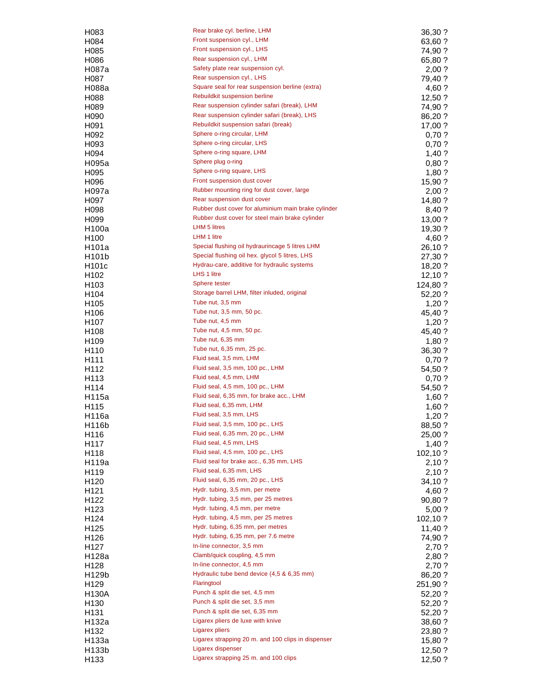| H083               | Rear brake cyl. berline, LHM                        | 36,30 ?  |
|--------------------|-----------------------------------------------------|----------|
| H084               | Front suspension cyl., LHM                          | 63,60 ?  |
| H <sub>0</sub> 85  | Front suspension cyl., LHS                          | 74,90 ?  |
| H086               | Rear suspension cyl., LHM                           | 65,80 ?  |
| H087a              | Safety plate rear suspension cyl.                   | 2,00?    |
| H087               | Rear suspension cyl., LHS                           | 79,40 ?  |
| H088a              | Square seal for rear suspension berline (extra)     | 4,60 ?   |
| H088               | Rebuildkit suspension berline                       | 12,50?   |
| H089               | Rear suspension cylinder safari (break), LHM        | 74,90 ?  |
| H <sub>090</sub>   | Rear suspension cylinder safari (break), LHS        | 86,20 ?  |
| H091               | Rebuildkit suspension safari (break)                |          |
|                    | Sphere o-ring circular, LHM                         | 17,00 ?  |
| H <sub>092</sub>   | Sphere o-ring circular, LHS                         | 0,70?    |
| H093               | Sphere o-ring square, LHM                           | 0,70?    |
| H094               |                                                     | $1,40$ ? |
| H095a              | Sphere plug o-ring                                  | 0,80?    |
| H095               | Sphere o-ring square, LHS                           | 1,80?    |
| H096               | Front suspension dust cover                         | 15,90 ?  |
| H097a              | Rubber mounting ring for dust cover, large          | 2,00?    |
| H097               | Rear suspension dust cover                          | 14,80 ?  |
| H <sub>098</sub>   | Rubber dust cover for aluminium main brake cylinder | 8,40 ?   |
| H099               | Rubber dust cover for steel main brake cylinder     | 13,00 ?  |
| H <sub>100a</sub>  | <b>LHM 5 litres</b>                                 | 19,30 ?  |
| H100               | LHM 1 litre                                         | 4,60 ?   |
| H101a              | Special flushing oil hydraurincage 5 litres LHM     | 26,10 ?  |
| H <sub>101</sub> b | Special flushing oil hex. glycol 5 litres, LHS      | 27,30 ?  |
| H <sub>101</sub> c | Hydrau-care, additive for hydraulic systems         | 18,20 ?  |
| H <sub>102</sub>   | LHS 1 litre                                         | 12,10?   |
| H <sub>103</sub>   | Sphere tester                                       | 124,80 ? |
| H104               | Storage barrel LHM, filter inluded, original        | 52,20 ?  |
| H105               | Tube nut, 3,5 mm                                    | $1,20$ ? |
| H106               | Tube nut, 3,5 mm, 50 pc.                            | 45,40 ?  |
| H <sub>107</sub>   | Tube nut, 4,5 mm                                    | 1,20?    |
| H <sub>108</sub>   | Tube nut, 4,5 mm, 50 pc.                            | 45,40 ?  |
|                    | Tube nut, 6,35 mm                                   |          |
| H <sub>109</sub>   | Tube nut, 6,35 mm, 25 pc.                           | $1,80$ ? |
| H <sub>110</sub>   |                                                     | 36,30 ?  |
| H <sub>111</sub>   | Fluid seal, 3,5 mm, LHM                             | 0,70?    |
| H112               | Fluid seal, 3,5 mm, 100 pc., LHM                    | 54,50 ?  |
| H113               | Fluid seal, 4,5 mm, LHM                             | 0,70?    |
| H114               | Fluid seal, 4,5 mm, 100 pc., LHM                    | 54,50 ?  |
| H115a              | Fluid seal, 6,35 mm, for brake acc., LHM            | 1,60?    |
| H115               | Fluid seal, 6,35 mm, LHM                            | $1,60$ ? |
| H116a              | Fluid seal, 3,5 mm, LHS                             | $1,20$ ? |
| H116b              | Fluid seal, 3,5 mm, 100 pc., LHS                    | 88,50 ?  |
| H116               | Fluid seal, 6,35 mm, 20 pc., LHM                    | 25,00 ?  |
| H117               | Fluid seal, 4,5 mm, LHS                             | $1,40$ ? |
| H118               | Fluid seal, 4,5 mm, 100 pc., LHS                    | 102,10 ? |
| H119a              | Fluid seal for brake acc., 6,35 mm, LHS             | 2,10?    |
| H119               | Fluid seal, 6,35 mm, LHS                            | 2,10 ?   |
| H <sub>120</sub>   | Fluid seal, 6,35 mm, 20 pc., LHS                    | 34,10 ?  |
| H <sub>121</sub>   | Hydr. tubing, 3,5 mm, per metre                     | 4,60 ?   |
| H <sub>122</sub>   | Hydr. tubing, 3,5 mm, per 25 metres                 | 90,80 ?  |
| H <sub>123</sub>   | Hydr. tubing, 4,5 mm, per metre                     | 5,00?    |
| H124               | Hydr. tubing, 4,5 mm, per 25 metres                 | 102,10 ? |
| H125               | Hydr. tubing, 6,35 mm, per metres                   | 11,40?   |
| H126               | Hydr. tubing, 6,35 mm, per 7.6 metre                | 74,90 ?  |
| H127               | In-line connector, 3,5 mm                           | 2,70 ?   |
|                    | Clamb/quick coupling, 4,5 mm                        |          |
| H128a              | In-line connector, 4,5 mm                           | 2,80 ?   |
| H128               | Hydraulic tube bend device (4,5 & 6,35 mm)          | 2,70 ?   |
| H <sub>129</sub> b |                                                     | 86,20 ?  |
| H <sub>129</sub>   | Flaringtool                                         | 251,90 ? |
| H130A              | Punch & split die set, 4,5 mm                       | 52,20 ?  |
| H <sub>130</sub>   | Punch & split die set, 3,5 mm                       | 52,20 ?  |
| H <sub>131</sub>   | Punch & split die set, 6,35 mm                      | 52,20 ?  |
| H132a              | Ligarex pliers de luxe with knive                   | 38,60 ?  |
| H <sub>132</sub>   | Ligarex pliers                                      | 23,80 ?  |
| H133a              | Ligarex strapping 20 m. and 100 clips in dispenser  | 15,80 ?  |
| H133b              | Ligarex dispenser                                   | 12,50 ?  |
| H <sub>133</sub>   | Ligarex strapping 25 m. and 100 clips               | 12,50 ?  |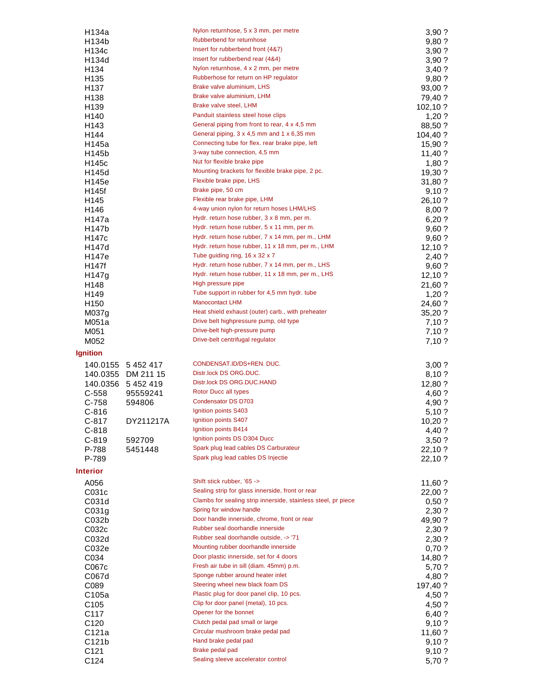| H134b                    |                    | Nylon returnhose, 5 x 3 mm, per metre                         | 3,90 ?          |
|--------------------------|--------------------|---------------------------------------------------------------|-----------------|
|                          |                    | Rubberbend for returnhose                                     | 9,80 ?          |
| H134c                    |                    | Insert for rubberbend front (4&7)                             | 3,90?           |
| H134d                    |                    | Insert for rubberbend rear (4&4)                              | 3,90?           |
| H <sub>134</sub>         |                    | Nylon returnhose, 4 x 2 mm, per metre                         | 3,40 ?          |
| H <sub>135</sub>         |                    | Rubberhose for return on HP regulator                         | 9,80?           |
| H <sub>137</sub>         |                    | Brake valve aluminium, LHS                                    | 93,00 ?         |
| H <sub>138</sub>         |                    | Brake valve aluminium, LHM                                    | 79,40 ?         |
| H <sub>139</sub>         |                    | Brake valve steel, LHM                                        | 102,10 ?        |
| H <sub>140</sub>         |                    | Panduit stainless steel hose clips                            | 1,20?           |
| H143                     |                    | General piping from front to rear, 4 x 4,5 mm                 | 88,50 ?         |
| H144                     |                    | General piping, 3 x 4,5 mm and 1 x 6,35 mm                    | 104,40 ?        |
| H145a                    |                    | Connecting tube for flex. rear brake pipe, left               | 15,90 ?         |
| H145b                    |                    | 3-way tube connection, 4,5 mm                                 | 11,40 ?         |
| H145c                    |                    | Nut for flexible brake pipe                                   | $1,80$ ?        |
| H145d                    |                    | Mounting brackets for flexible brake pipe, 2 pc.              | 19,30 ?         |
| H145e                    |                    | Flexible brake pipe, LHS                                      | 31,80 ?         |
| H145f                    |                    | Brake pipe, 50 cm                                             | 9,10?           |
| H145                     |                    | Flexible rear brake pipe, LHM                                 | 26,10 ?         |
| H146                     |                    | 4-way union nylon for return hoses LHM/LHS                    | 8,00?           |
| H147a                    |                    | Hydr. return hose rubber, 3 x 8 mm, per m.                    | 6,20?           |
| H147b                    |                    | Hydr. return hose rubber, 5 x 11 mm, per m.                   | 9,60?           |
| H147c                    |                    | Hydr. return hose rubber, 7 x 14 mm, per m., LHM              | 9,60?           |
| H147d                    |                    | Hydr. return hose rubber, 11 x 18 mm, per m., LHM             | 12,10?          |
| H147e                    |                    | Tube guiding ring, 16 x 32 x 7                                | 2,40 ?          |
| H147f                    |                    | Hydr. return hose rubber, 7 x 14 mm, per m., LHS              | 9,60?           |
| H147g                    |                    | Hydr. return hose rubber, 11 x 18 mm, per m., LHS             | 12,10?          |
| H148                     |                    | High pressure pipe                                            | 21,60 ?         |
| H149                     |                    | Tube support in rubber for 4,5 mm hydr. tube                  | $1,20$ ?        |
| H <sub>150</sub>         |                    | <b>Manocontact LHM</b>                                        | 24,60 ?         |
| M <sub>037g</sub>        |                    | Heat shield exhaust (outer) carb., with preheater             | 35,20 ?         |
| M051a                    |                    | Drive belt highpressure pump, old type                        | 7,10 ?          |
| M051                     |                    | Drive-belt high-pressure pump                                 | 7,10?           |
| M052                     |                    | Drive-belt centrifugal regulator                              | 7,10?           |
| Ignition                 |                    |                                                               |                 |
|                          | 140.0155 5 452 417 | CONDENSAT.ID/DS+REN. DUC.                                     | 3,00?           |
|                          | 140.0355 DM 211 15 | Distr.lock DS ORG.DUC.                                        | 8,10?           |
| 140.0356                 | 5 4 5 2 4 1 9      | Distr.lock DS ORG.DUC.HAND                                    | 12,80 ?         |
| $C-558$                  | 95559241           | Rotor Ducc all types                                          | 4,60 ?          |
| $C-758$                  | 594806             | Condensator DS D703                                           |                 |
|                          |                    |                                                               |                 |
| $C-816$                  |                    | Ignition points S403                                          | 4,90 ?          |
|                          |                    | Ignition points S407                                          | 5,10?           |
| $C-817$                  | DY211217A          | Ignition points B414                                          | 10,20 ?         |
| C-818                    |                    | Ignition points DS D304 Ducc                                  | 4,40 ?          |
| $C-819$<br>P-788         | 592709             | Spark plug lead cables DS Carburateur                         | 3,50?           |
| P-789                    | 5451448            | Spark plug lead cables DS Injectie                            | 22,10 ?         |
|                          |                    |                                                               | 22,10 ?         |
| <b>Interior</b>          |                    |                                                               |                 |
| A056                     |                    | Shift stick rubber, '65 ->                                    | 11,60 ?         |
| C031c                    |                    | Sealing strip for glass innerside, front or rear              | 22,00 ?         |
| C031d                    |                    | Clambs for sealing strip innerside, stainless steel, pr piece | 0,50?           |
| C031g                    |                    | Spring for window handle                                      | 2,30 ?          |
| CO <sub>32b</sub>        |                    | Door handle innerside, chrome, front or rear                  | 49,90 ?         |
| C032c                    |                    | Rubber seal doorhandle innerside                              | 2,30 ?          |
| C032d                    |                    | Rubber seal doorhandle outside, -> '71                        | 2,30 ?          |
| C032e                    |                    | Mounting rubber doorhandle innerside                          | 0,70 ?          |
| C034                     |                    | Door plastic innerside, set for 4 doors                       | 14,80 ?         |
| C067c                    |                    | Fresh air tube in sill (diam. 45mm) p.m.                      | 5,70 ?          |
| C067d                    |                    | Sponge rubber around heater inlet                             | 4,80 ?          |
| C089                     |                    | Steering wheel new black foam DS                              | 197,40 ?        |
| C <sub>105a</sub>        |                    | Plastic plug for door panel clip, 10 pcs.                     | 4,50 ?          |
| C <sub>105</sub>         |                    | Clip for door panel (metal), 10 pcs.                          | 4,50 ?          |
| C117                     |                    | Opener for the bonnet                                         | 6,40 ?          |
| C <sub>120</sub>         |                    | Clutch pedal pad small or large                               | 9,10?           |
| C121a                    |                    | Circular mushroom brake pedal pad                             | 11,60 ?         |
| C121b                    |                    | Hand brake pedal pad                                          | 9,10 ?          |
| C <sub>121</sub><br>C124 |                    | Brake pedal pad<br>Sealing sleeve accelerator control         | 9,10?<br>5,70 ? |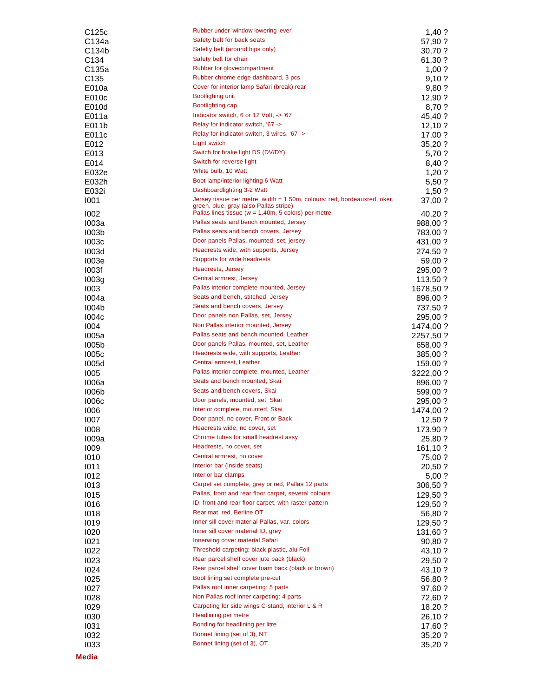| C125c             | Rubber under 'window lowering lever'                                                                               | $1,40$ ?  |
|-------------------|--------------------------------------------------------------------------------------------------------------------|-----------|
| C134a             | Safety belt for back seats                                                                                         | 57,90 ?   |
| C134b             | Safelty belt (around hips only)                                                                                    | 30,70 ?   |
| C <sub>134</sub>  | Safety belt for chair                                                                                              | 61,30 ?   |
| C135a             | Rubber for glovecompartment                                                                                        | 1,00?     |
| C <sub>135</sub>  | Rubber chrome edge dashboard, 3 pcs.                                                                               | 9,10?     |
| E010a             | Cover for interior lamp Safari (break) rear                                                                        | 9,80 ?    |
| E010c             | <b>Bootlighing unit</b>                                                                                            | 12,90 ?   |
| E010d             | <b>Bootlighting cap</b>                                                                                            | 8,70 ?    |
| E011a             | Indicator switch, 6 or 12 Volt, -> '67                                                                             | 45,40 ?   |
| E011b             | Relay for indicator switch, '67 ->                                                                                 | 12,10?    |
| E011c             | Relay for indicator switch, 3 wires, '67 ->                                                                        | 17,00 ?   |
| E012              | Light switch                                                                                                       | 35,20 ?   |
| E013              | Switch for brake light DS (DV/DY)                                                                                  | 5,70 ?    |
| E014              | Switch for reverse light                                                                                           | 8,40 ?    |
| E032e             | White bulb, 10 Watt                                                                                                | 1,20?     |
|                   | Boot lamp/interior lighting 6 Watt                                                                                 |           |
| E032h             | Dashboardlighting 3-2 Watt                                                                                         | 5,50 ?    |
| E032i             |                                                                                                                    | 1,50?     |
| 1001              | Jersey tissue per metre, width = 1.50m, colours: red, bordeauxred, oker,<br>green, blue, gray (also Pallas stripe) | 37,00 ?   |
| 1002              | Pallas lines tissue ( $w = 1.40$ m, 5 colors) per metre                                                            | 40,20 ?   |
| <b>1003a</b>      | Pallas seats and bench mounted, Jersey                                                                             | 988,00 ?  |
| 1003 <sub>b</sub> | Pallas seats and bench covers, Jersey                                                                              | 783,00 ?  |
| <b>I003c</b>      | Door panels Pallas, mounted, set, jersey                                                                           | 431,00 ?  |
| <b>I003d</b>      | Headrests wide, with supports, Jersey                                                                              | 274,50 ?  |
| 1003e             | Supports for wide headrests                                                                                        |           |
| 1003f             | Headrests, Jersey                                                                                                  | 59,00 ?   |
|                   | Central armrest, Jersey                                                                                            | 295,00 ?  |
| 1003g             |                                                                                                                    | 113,50 ?  |
| 1003              | Pallas interior complete mounted, Jersey                                                                           | 1678,50 ? |
| 1004a             | Seats and bench, stitched, Jersey                                                                                  | 896,00 ?  |
| <b>I004b</b>      | Seats and bench covers, Jersey                                                                                     | 737,50 ?  |
| 1004c             | Door panels non Pallas, set, Jersey                                                                                | 295,00 ?  |
| 1004              | Non Pallas interior mounted, Jersey                                                                                | 1474,00 ? |
| <b>1005a</b>      | Pallas seats and bench mounted, Leather                                                                            | 2257,50 ? |
| <b>I005b</b>      | Door panels Pallas, mounted, set, Leather                                                                          | 658,00 ?  |
| <b>1005c</b>      | Headrests wide, with supports, Leather                                                                             | 385,00 ?  |
| 1005d             | Central armrest, Leather                                                                                           | 159,00 ?  |
| 1005              | Pallas interior complete, mounted, Leather                                                                         | 3222,00 ? |
| 1006a             | Seats and bench mounted, Skai                                                                                      | 896,00 ?  |
| <b>I006b</b>      | Seats and bench covers, Skai                                                                                       | 599,00 ?  |
| <b>1006c</b>      | Door panels, mounted, set, Skai                                                                                    | 295,00 ?  |
| 1006              | Interior complete, mounted, Skai                                                                                   | 1474,00 ? |
| 1007              | Door panel, no cover, Front or Back                                                                                | 12,50 ?   |
| 1008              | Headrests wide, no cover, set                                                                                      | 173,90?   |
| 1009a             | Chrome tubes for small headrest assy                                                                               | 25,80 ?   |
| 1009              | Headrests, no cover, set                                                                                           | 161,10?   |
| 1010              | Central armrest, no cover                                                                                          | 75,00 ?   |
|                   | Interior bar (inside seats)                                                                                        |           |
| 1011              | Interior bar clamps                                                                                                | 20,50 ?   |
| 1012              | Carpet set complete, grey or red, Pallas 12 parts                                                                  | 5,00?     |
| 1013              | Pallas, front and rear floor carpet, several colours                                                               | 306,50 ?  |
| 1015              | ID, front and rear floor carpet, with raster pattern                                                               | 129,50 ?  |
| 1016              |                                                                                                                    | 129,50 ?  |
| 1018              | Rear mat, red, Berline OT                                                                                          | 56,80 ?   |
| 1019              | Inner sill cover material Pallas, var. colors                                                                      | 129,50 ?  |
| 1020              | Inner sill cover material ID, grey                                                                                 | 131,60 ?  |
| 1021              | Innerwing cover material Safari                                                                                    | 90,80 ?   |
| 1022              | Threshold carpeting: black plastic, alu Foil                                                                       | 43,10 ?   |
| 1023              | Rear parcel shelf cover jute back (black)                                                                          | 29,50 ?   |
| 1024              | Rear parcel shelf cover foam back (black or brown)                                                                 | 43,10 ?   |
| 1025              | Boot lining set complete pre-cut                                                                                   | 56,80 ?   |
| 1027              | Pallas roof inner carpeting: 5 parts                                                                               | 97,60 ?   |
| 1028              | Non Pallas roof inner carpeting: 4 parts                                                                           | 72,60 ?   |
| 1029              | Carpeting for side wings C-stand, interior L & R                                                                   | 18,20 ?   |
| 1030              | Headlining per metre                                                                                               | 26,10 ?   |
| 1031              | Bonding for headlining per litre                                                                                   | 17,60 ?   |
| 1032              | Bonnet lining (set of 3), NT                                                                                       | 35,20 ?   |
| 1033              | Bonnet lining (set of 3), OT                                                                                       | 35,20 ?   |
|                   |                                                                                                                    |           |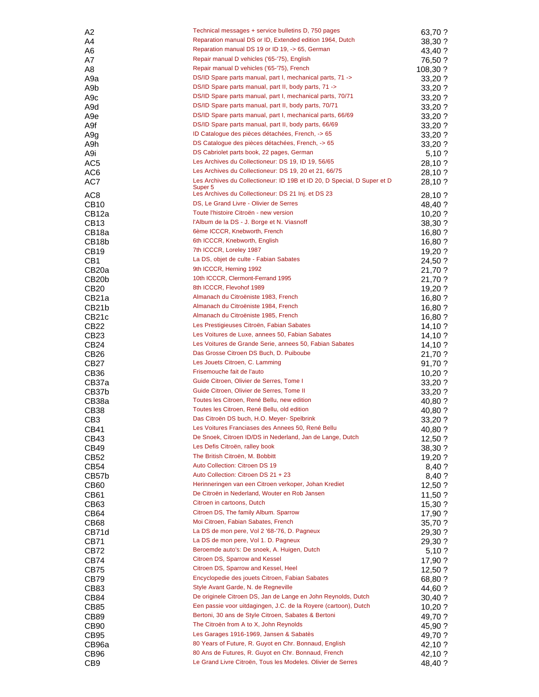| A2                 | Technical messages + service bulletins D, 750 pages                      | 63,70 ?   |
|--------------------|--------------------------------------------------------------------------|-----------|
| A4                 | Reparation manual DS or ID, Extended edition 1964, Dutch                 | 38,30 ?   |
| A6                 | Reparation manual DS 19 or ID 19, -> 65, German                          | 43,40 ?   |
| A7                 | Repair manual D vehicles ('65-'75), English                              | 76,50 ?   |
| A8                 | Repair manual D vehicles ('65-'75), French                               | 108,30 ?  |
| A9a                | DS/ID Spare parts manual, part I, mechanical parts, 71 ->                | 33,20 ?   |
| A9b                | DS/ID Spare parts manual, part II, body parts, 71 ->                     | 33,20 ?   |
| A <sub>9</sub> c   | DS/ID Spare parts manual, part I, mechanical parts, 70/71                | 33,20 ?   |
| A9d                | DS/ID Spare parts manual, part II, body parts, 70/71                     | 33,20 ?   |
| A <sub>9e</sub>    | DS/ID Spare parts manual, part I, mechanical parts, 66/69                | 33,20 ?   |
| A9f                | DS/ID Spare parts manual, part II, body parts, 66/69                     | 33,20 ?   |
| A <sub>9</sub> g   | ID Catalogue des pièces détachées, French, -> 65                         | 33,20 ?   |
| A9h                | DS Catalogue des pièces détachées, French, -> 65                         | 33,20 ?   |
| A9i                | DS Cabriolet parts book, 22 pages, German                                | 5,10?     |
| AC <sub>5</sub>    | Les Archives du Collectioneur: DS 19, ID 19, 56/65                       | 28,10 ?   |
| AC <sub>6</sub>    | Les Archives du Collectioneur: DS 19, 20 et 21, 66/75                    | 28,10 ?   |
| AC7                | Les Archives du Collectioneur: ID 19B et ID 20, D Special, D Super et D  | 28,10 ?   |
|                    | Super <sub>5</sub><br>Les Archives du Collectioneur: DS 21 Inj. et DS 23 |           |
| AC <sub>8</sub>    | DS, Le Grand Livre - Olivier de Serres                                   | 28,10 ?   |
| CB <sub>10</sub>   |                                                                          | 48,40 ?   |
| CB <sub>12a</sub>  | Toute l'histoire Citroën - new version                                   | $10,20$ ? |
| CB <sub>13</sub>   | l'Album de la DS - J. Borge et N. Viasnoff                               | 38,30 ?   |
| CB <sub>18a</sub>  | 6ème ICCCR, Knebworth, French                                            | 16,80 ?   |
| CB <sub>18</sub> b | 6th ICCCR, Knebworth, English                                            | 16,80 ?   |
| <b>CB19</b>        | 7th ICCCR, Loreley 1987                                                  | 19,20?    |
| CB <sub>1</sub>    | La DS, objet de culte - Fabian Sabates                                   | 24,50 ?   |
| CB <sub>20</sub> a | 9th ICCCR, Herning 1992                                                  | 21,70 ?   |
| CB <sub>20</sub> b | 10th ICCCR, Clermont-Ferrand 1995                                        | 21,70 ?   |
| CB <sub>20</sub>   | 8th ICCCR, Flevohof 1989                                                 | 19,20?    |
| CB <sub>21</sub> a | Almanach du Citroëniste 1983, French                                     | 16,80 ?   |
| CB <sub>21</sub> b | Almanach du Citroëniste 1984, French                                     | 16,80 ?   |
| CB21c              | Almanach du Citroëniste 1985, French                                     | 16,80 ?   |
| CB22               | Les Prestigieuses Citroën, Fabian Sabates                                | 14,10?    |
| CB <sub>23</sub>   | Les Voitures de Luxe, annees 50, Fabian Sabates                          | 14,10?    |
| CB <sub>24</sub>   | Les Voitures de Grande Serie, annees 50, Fabian Sabates                  | 14,10?    |
| CB <sub>26</sub>   | Das Grosse Citroen DS Buch, D. Puiboube                                  | 21,70 ?   |
| CB <sub>27</sub>   | Les Jouets Citroen, C. Lamming                                           | 91,70 ?   |
| CB <sub>36</sub>   | Frisemouche fait de l'auto                                               | 10,20?    |
| CB37a              | Guide Citroen, Olivier de Serres, Tome I                                 | 33,20 ?   |
| CB37b              | Guide Citroen, Olivier de Serres, Tome II                                | 33,20 ?   |
| CB38a              | Toutes les Citroen, René Bellu, new edition                              | 40,80 ?   |
| <b>CB38</b>        | Toutes les Citroen, René Bellu, old edition                              | 40,80 ?   |
| CB3                | Das Citroën DS buch, H.O. Meyer- Spelbrink                               | 33,20 ?   |
| CB41               | Les Voitures Franciases des Annees 50, René Bellu                        | 40,80 ?   |
| CB43               | De Snoek, Citroen ID/DS in Nederland, Jan de Lange, Dutch                | $12,50$ ? |
| CB49               | Les Defis Citroën, ralley book                                           | 38,30 ?   |
| CB <sub>52</sub>   | The British Citroën, M. Bobbitt                                          | 19,20 ?   |
| CB54               | Auto Collection: Citroen DS 19                                           | 8,40 ?    |
| CB57b              | Auto Collection: Citroen DS 21 + 23                                      | 8,40 ?    |
| CB <sub>60</sub>   | Herinneringen van een Citroen verkoper, Johan Krediet                    | 12,50 ?   |
| CB61               | De Citroën in Nederland, Wouter en Rob Jansen                            | 11,50 ?   |
| CB63               | Citroen in cartoons, Dutch                                               | 15,30 ?   |
| CB64               | Citroen DS, The family Album. Sparrow                                    | 17,90 ?   |
| CB68               | Moi Citroen, Fabian Sabates, French                                      | 35,70 ?   |
| CB71d              | La DS de mon pere, Vol 2 '68-'76, D. Pagneux                             | 29,30 ?   |
| CB71               | La DS de mon pere, Vol 1. D. Pagneux                                     | 29,30 ?   |
| CB72               | Beroemde auto's: De snoek, A. Huigen, Dutch                              | 5,10?     |
| CB74               | Citroen DS, Sparrow and Kessel                                           | 17,90 ?   |
| CB75               | Citroen DS, Sparrow and Kessel, Heel                                     | 12,50 ?   |
| CB79               | Encyclopedie des jouets Citroen, Fabian Sabates                          | 68,80 ?   |
| CB83               | Style Avant Garde, N. de Regneville                                      | 44,60 ?   |
| CB84               | De originele Citroen DS, Jan de Lange en John Reynolds, Dutch            | 30,40 ?   |
| <b>CB85</b>        | Een passie voor uitdagingen, J.C. de la Royere (cartoon), Dutch          | $10,20$ ? |
|                    | Bertoni, 30 ans de Style Citroen, Sabates & Bertoni                      |           |
| CB89               | The Citroën from A to X, John Reynolds                                   | 49,70 ?   |
| CB <sub>90</sub>   | Les Garages 1916-1969, Jansen & Sabatès                                  | 45,90 ?   |
| CB95               | 80 Years of Future, R. Guyot en Chr. Bonnaud, English                    | 49,70 ?   |
| CB96a              | 80 Ans de Futures, R. Guyot en Chr. Bonnaud, French                      | 42,10 ?   |
| CB96               | Le Grand Livre Citroën, Tous les Modeles. Olivier de Serres              | 42,10 ?   |
| CB <sub>9</sub>    |                                                                          | 48,40 ?   |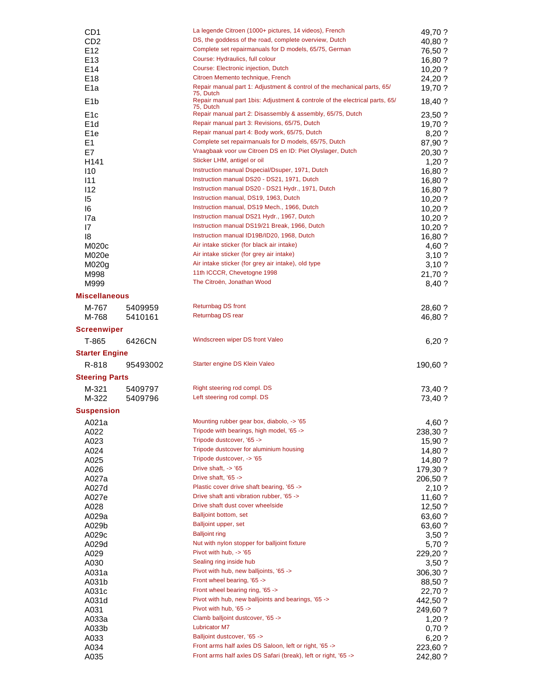| CD <sub>1</sub>       | La legende Citroen (1000+ pictures, 14 videos), French                                                                                                              | 49,70 ?            |
|-----------------------|---------------------------------------------------------------------------------------------------------------------------------------------------------------------|--------------------|
| CD <sub>2</sub>       | DS, the goddess of the road, complete overview, Dutch                                                                                                               | 40,80 ?            |
| E <sub>12</sub>       | Complete set repairmanuals for D models, 65/75, German                                                                                                              | 76,50 ?            |
| E13                   | Course: Hydraulics, full colour                                                                                                                                     | 16,80 ?            |
| E14                   | Course: Electronic injection, Dutch                                                                                                                                 | $10,20$ ?          |
| E <sub>18</sub>       | Citroen Memento technique, French                                                                                                                                   | 24,20 ?            |
| E <sub>1a</sub>       | Repair manual part 1: Adjustment & control of the mechanical parts, 65/<br>75, Dutch<br>Repair manual part 1bis: Adjustment & controle of the electrical parts, 65/ | 19,70 ?            |
| E <sub>1</sub> b      | 75, Dutch                                                                                                                                                           | 18,40 ?            |
| E <sub>1c</sub>       | Repair manual part 2: Disassembly & assembly, 65/75, Dutch                                                                                                          | 23,50 ?            |
| E <sub>1</sub> d      | Repair manual part 3: Revisions, 65/75, Dutch                                                                                                                       | 19,70 ?            |
| E <sub>1e</sub>       | Repair manual part 4: Body work, 65/75, Dutch                                                                                                                       | 8,20?              |
| E1                    | Complete set repairmanuals for D models, 65/75, Dutch                                                                                                               | 87,90 ?            |
| E7                    | Vraagbaak voor uw Citroen DS en ID: Piet Olyslager, Dutch                                                                                                           | 20,30 ?            |
| H141                  | Sticker LHM, antigel or oil                                                                                                                                         | 1,20?              |
| 110                   | Instruction manual Dspecial/Dsuper, 1971, Dutch<br>Instruction manual DS20 - DS21, 1971, Dutch                                                                      | 16,80 ?            |
| 111                   | Instruction manual DS20 - DS21 Hydr., 1971, Dutch                                                                                                                   | 16,80 ?            |
| 112                   | Instruction manual, DS19, 1963, Dutch                                                                                                                               | 16,80 ?            |
| 15                    | Instruction manual, DS19 Mech., 1966, Dutch                                                                                                                         | 10,20 ?            |
| 16<br>I7a             | Instruction manual DS21 Hydr., 1967, Dutch                                                                                                                          | 10,20?             |
| 17                    | Instruction manual DS19/21 Break, 1966, Dutch                                                                                                                       | 10,20?             |
| 18                    | Instruction manual ID19B/ID20, 1968, Dutch                                                                                                                          | 10,20 ?<br>16,80 ? |
| M020c                 | Air intake sticker (for black air intake)                                                                                                                           | 4,60 ?             |
| M020e                 | Air intake sticker (for grey air intake)                                                                                                                            | 3,10?              |
| M020g                 | Air intake sticker (for grey air intake), old type                                                                                                                  | 3,10?              |
| M998                  | 11th ICCCR, Chevetogne 1998                                                                                                                                         | 21,70 ?            |
| M999                  | The Citroën, Jonathan Wood                                                                                                                                          | 8,40 ?             |
| <b>Miscellaneous</b>  |                                                                                                                                                                     |                    |
| M-767<br>5409959      | <b>Returnbag DS front</b>                                                                                                                                           | 28,60 ?            |
| M-768<br>5410161      | Returnbag DS rear                                                                                                                                                   | 46,80 ?            |
| <b>Screenwiper</b>    |                                                                                                                                                                     |                    |
| T-865                 | Windscreen wiper DS front Valeo                                                                                                                                     |                    |
| 6426CN                |                                                                                                                                                                     | 6,20?              |
| <b>Starter Engine</b> |                                                                                                                                                                     |                    |
| R-818<br>95493002     | Starter engine DS Klein Valeo                                                                                                                                       | 190,60 ?           |
| <b>Steering Parts</b> |                                                                                                                                                                     |                    |
| M-321<br>5409797      | Right steering rod compl. DS                                                                                                                                        | 73,40 ?            |
| M-322<br>5409796      | Left steering rod compl. DS                                                                                                                                         | 73,40 ?            |
| Suspension            |                                                                                                                                                                     |                    |
| A021a                 | Mounting rubber gear box, diabolo, -> '65                                                                                                                           | 4,60 ?             |
| A022                  | Tripode with bearings, high model, '65 ->                                                                                                                           | 238,30 ?           |
| A023                  | Tripode dustcover, '65 ->                                                                                                                                           | 15,90 ?            |
| A024                  | Tripode dustcover for aluminium housing                                                                                                                             | 14,80 ?            |
| A025                  | Tripode dustcover, -> '65                                                                                                                                           | 14,80 ?            |
| A026                  | Drive shaft, $\sim$ '65                                                                                                                                             | 179,30 ?           |
| A027a                 | Drive shaft, '65 ->                                                                                                                                                 | 206,50 ?           |
| A027d                 | Plastic cover drive shaft bearing, '65 ->                                                                                                                           | 2,10?              |
| A027e                 | Drive shaft anti vibration rubber, '65 ->                                                                                                                           | 11,60 ?            |
| A028                  | Drive shaft dust cover wheelside                                                                                                                                    | 12,50?             |
| A029a                 | Balljoint bottom, set                                                                                                                                               | 63,60 ?            |
| A029b                 | Balljoint upper, set                                                                                                                                                | 63,60 ?            |
| A029c                 | <b>Balljoint ring</b>                                                                                                                                               | 3,50?              |
| A029d                 | Nut with nylon stopper for balljoint fixture                                                                                                                        | 5,70 ?             |
| A029                  | Pivot with hub, -> '65                                                                                                                                              | 229,20 ?           |
| A030                  | Sealing ring inside hub                                                                                                                                             | 3,50 ?             |
| A031a                 | Pivot with hub, new balljoints, '65 ->                                                                                                                              | 306,30 ?           |
| A031b                 | Front wheel bearing, '65 ->                                                                                                                                         | 88,50 ?            |
| A031c                 | Front wheel bearing ring, '65 ->                                                                                                                                    | 22,70 ?            |
| A031d                 | Pivot with hub, new balljoints and bearings, '65 ->                                                                                                                 | 442,50 ?           |
| A031                  | Pivot with hub, '65 ->                                                                                                                                              | 249,60 ?           |
| A033a                 | Clamb balljoint dustcover, '65 -><br><b>Lubricator M7</b>                                                                                                           | $1,20$ ?           |
| A033b                 | Balljoint dustcover, '65 ->                                                                                                                                         | 0,70?              |
| A033<br>A034          | Front arms half axles DS Saloon, left or right, '65 ->                                                                                                              | 6,20?<br>223,60 ?  |
| A035                  | Front arms half axles DS Safari (break), left or right, '65 ->                                                                                                      | 242,80 ?           |
|                       |                                                                                                                                                                     |                    |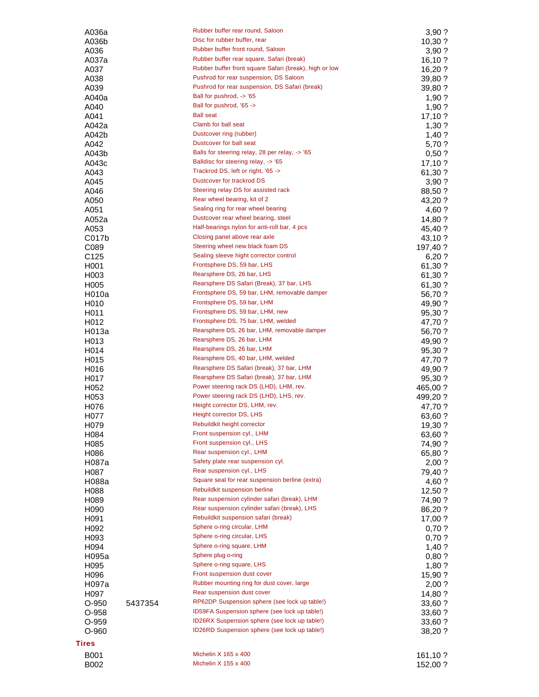| A036a                     |         | Rubber buffer rear round, Saloon                                                                 | 3,90 ?             |
|---------------------------|---------|--------------------------------------------------------------------------------------------------|--------------------|
| A036b                     |         | Disc for rubber buffer, rear                                                                     | 10,30?             |
| A036                      |         | Rubber buffer front round, Saloon                                                                | 3,90?              |
| A037a                     |         | Rubber buffer rear square, Safari (break)                                                        | 16, 10.7           |
| A037                      |         | Rubber buffer front square Safari (break), high or low<br>Pushrod for rear suspension, DS Saloon | 16,20?             |
| A038                      |         | Pushrod for rear suspension, DS Safari (break)                                                   | 39,80 ?            |
| A039                      |         | Ball for pushrod, -> '65                                                                         | 39,80 ?            |
| A040a                     |         | Ball for pushrod, '65 ->                                                                         | 1,90?              |
| A040<br>A041              |         | <b>Ball seat</b>                                                                                 | 1,90?<br>17,10?    |
| A042a                     |         | Clamb for ball seat                                                                              | 1,30?              |
| A042b                     |         | Dustcover ring (rubber)                                                                          | $1,40$ ?           |
| A042                      |         | Dustcover for ball seat                                                                          | 5,70 ?             |
| A043b                     |         | Balls for steering relay, 28 per relay, -> '65                                                   | 0.50?              |
| A043c                     |         | Balldisc for steering relay, -> '65                                                              | 17,10?             |
| A043                      |         | Trackrod DS, left or right, '65 ->                                                               | 61,30 ?            |
| A045                      |         | Dustcover for trackrod DS                                                                        | 3,90?              |
| A046                      |         | Steering relay DS for assisted rack                                                              | 88,50 ?            |
| A050                      |         | Rear wheel bearing, kit of 2                                                                     | 43,20 ?            |
| A051                      |         | Sealing ring for rear wheel bearing                                                              | 4,60 ?             |
| A052a                     |         | Dustcover rear wheel bearing, steel                                                              | 14,80 ?            |
| A053                      |         | Half-bearings nylon for anti-roll bar, 4 pcs                                                     | 45,40 ?            |
| C017b                     |         | Closing panel above rear axle                                                                    | 43,10 ?            |
| C089                      |         | Steering wheel new black foam DS                                                                 | 197,40 ?           |
| C <sub>125</sub>          |         | Sealing sleeve hight corrector control                                                           | 6,20?              |
| H <sub>0</sub> 01         |         | Frontsphere DS, 59 bar, LHS                                                                      | 61,30 ?            |
| H <sub>0</sub> 03         |         | Rearsphere DS, 26 bar, LHS                                                                       | 61,30 ?            |
| H <sub>005</sub>          |         | Rearsphere DS Safari (Break), 37 bar, LHS                                                        | 61,30 ?            |
| H010a                     |         | Frontsphere DS, 59 bar, LHM, removable damper                                                    | 56,70 ?            |
| H <sub>0</sub> 10         |         | Frontsphere DS, 59 bar, LHM                                                                      | 49,90 ?            |
| H <sub>0</sub> 11         |         | Frontsphere DS, 59 bar, LHM, new                                                                 | 95,30 ?            |
| H <sub>0</sub> 12         |         | Frontsphere DS, 75 bar, LHM, welded                                                              | 47,70 ?            |
| H013a                     |         | Rearsphere DS, 26 bar, LHM, removable damper                                                     | 56,70 ?            |
| H <sub>0</sub> 13         |         | Rearsphere DS, 26 bar, LHM                                                                       | 49,90 ?            |
| H <sub>0</sub> 14         |         | Rearsphere DS, 26 bar, LHM                                                                       | 95,30 ?            |
| H <sub>0</sub> 15         |         | Rearsphere DS, 40 bar, LHM, welded                                                               | 47,70 ?            |
| H016                      |         | Rearsphere DS Safari (break), 37 bar, LHM<br>Rearsphere DS Safari (break), 37 bar, LHM           | 49,90 ?            |
| H017                      |         | Power steering rack DS (LHD), LHM, rev.                                                          | 95,30 ?            |
| H <sub>052</sub>          |         | Power steering rack DS (LHD), LHS, rev.                                                          | 465,00 ?           |
| H <sub>053</sub>          |         | Height corrector DS, LHM, rev.                                                                   | 499,20 ?           |
| H076                      |         | Height corrector DS, LHS                                                                         | 47,70 ?            |
| H077                      |         | Rebuildkit height corrector                                                                      | 63,60 ?            |
| H <sub>0</sub> 79<br>H084 |         | Front suspension cyl., LHM                                                                       | 19,30 ?<br>63,60 ? |
| H085                      |         | Front suspension cyl., LHS                                                                       | 74,90 ?            |
| H086                      |         | Rear suspension cyl., LHM                                                                        | 65,80 ?            |
| H087a                     |         | Safety plate rear suspension cyl.                                                                | 2,00?              |
| H087                      |         | Rear suspension cyl., LHS                                                                        | 79,40 ?            |
| H088a                     |         | Square seal for rear suspension berline (extra)                                                  | 4,60 ?             |
| H088                      |         | Rebuildkit suspension berline                                                                    | 12,50 ?            |
| H089                      |         | Rear suspension cylinder safari (break), LHM                                                     | 74,90 ?            |
| H <sub>090</sub>          |         | Rear suspension cylinder safari (break), LHS                                                     | 86,20 ?            |
| H <sub>091</sub>          |         | Rebuildkit suspension safari (break)                                                             | 17,00 ?            |
| H <sub>092</sub>          |         | Sphere o-ring circular, LHM                                                                      | 0,70?              |
| H093                      |         | Sphere o-ring circular, LHS                                                                      | 0,70?              |
| H094                      |         | Sphere o-ring square, LHM                                                                        | $1,40$ ?           |
| H095a                     |         | Sphere plug o-ring                                                                               | $0,80$ ?           |
| H <sub>095</sub>          |         | Sphere o-ring square, LHS                                                                        | 1,80?              |
| H096                      |         | Front suspension dust cover                                                                      | 15,90 ?            |
| H097a                     |         | Rubber mounting ring for dust cover, large                                                       | 2,00?              |
| H097                      |         | Rear suspension dust cover                                                                       | 14,80 ?            |
| $O-950$                   | 5437354 | RP62DP Suspension sphere (see lock up table!)                                                    | 33,60 ?            |
| O-958                     |         | ID59FA Suspension sphere (see lock up table!)                                                    | 33,60 ?            |
| $O-959$                   |         | ID26RX Suspension sphere (see lock up table!)                                                    | 33,60 ?            |
| O-960                     |         | ID26RD Suspension sphere (see lock up table!)                                                    | 38,20 ?            |
| <b>Tires</b>              |         |                                                                                                  |                    |
| B001                      |         | Michelin X 165 x 400                                                                             | 161,10 ?           |
| B002                      |         | Michelin X 155 x 400                                                                             | 152,00 ?           |
|                           |         |                                                                                                  |                    |